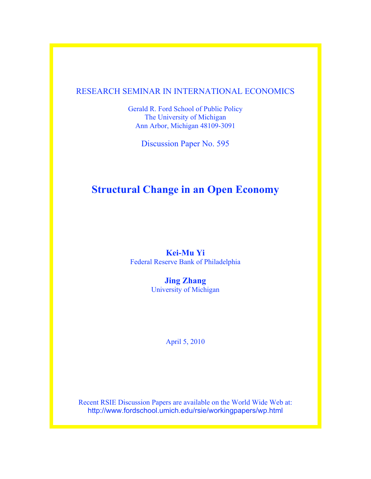### RESEARCH SEMINAR IN INTERNATIONAL ECONOMICS

Gerald R. Ford School of Public Policy The University of Michigan Ann Arbor, Michigan 48109-3091

Discussion Paper No. 595

# **Structural Change in an Open Economy**

### **Kei-Mu Yi** Federal Reserve Bank of Philadelphia

**Jing Zhang** University of Michigan

April 5, 2010

Recent RSIE Discussion Papers are available on the World Wide Web at: http://www.fordschool.umich.edu/rsie/workingpapers/wp.html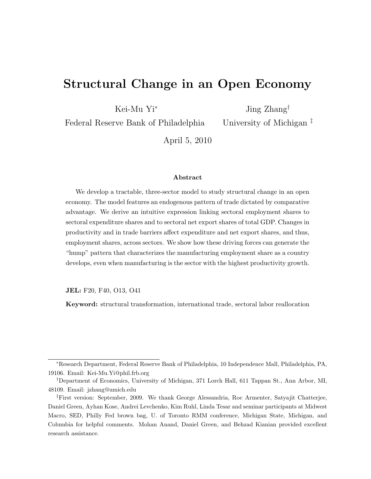# Structural Change in an Open Economy

Kei-Mu Yi<sup>∗</sup>

Jing Zhang†

Federal Reserve Bank of Philadelphia

University of Michigan ‡

April 5, 2010

#### Abstract

We develop a tractable, three-sector model to study structural change in an open economy. The model features an endogenous pattern of trade dictated by comparative advantage. We derive an intuitive expression linking sectoral employment shares to sectoral expenditure shares and to sectoral net export shares of total GDP. Changes in productivity and in trade barriers affect expenditure and net export shares, and thus, employment shares, across sectors. We show how these driving forces can generate the "hump" pattern that characterizes the manufacturing employment share as a country develops, even when manufacturing is the sector with the highest productivity growth.

JEL: F20, F40, O13, O41

Keyword: structural transformation, international trade, sectoral labor reallocation

<sup>∗</sup>Research Department, Federal Reserve Bank of Philadelphia, 10 Independence Mall, Philadelphia, PA, 19106. Email: Kei-Mu.Yi@phil.frb.org

<sup>†</sup>Department of Economics, University of Michigan, 371 Lorch Hall, 611 Tappan St., Ann Arbor, MI, 48109. Email: jzhang@umich.edu

<sup>‡</sup>First version: September, 2009. We thank George Alessandria, Roc Armenter, Satyajit Chatterjee, Daniel Green, Ayhan Kose, Andrei Levchenko, Kim Ruhl, Linda Tesar and seminar participants at Midwest Macro, SED, Philly Fed brown bag, U. of Toronto RMM conference, Michigan State, Michigan, and Columbia for helpful comments. Mohan Anand, Daniel Green, and Behzad Kianian provided excellent research assistance.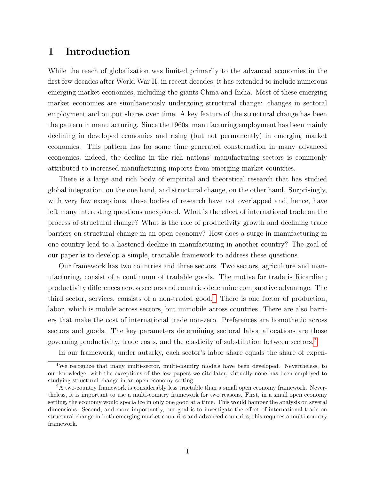# 1 Introduction

While the reach of globalization was limited primarily to the advanced economies in the first few decades after World War II, in recent decades, it has extended to include numerous emerging market economies, including the giants China and India. Most of these emerging market economies are simultaneously undergoing structural change: changes in sectoral employment and output shares over time. A key feature of the structural change has been the pattern in manufacturing. Since the 1960s, manufacturing employment has been mainly declining in developed economies and rising (but not permanently) in emerging market economies. This pattern has for some time generated consternation in many advanced economies; indeed, the decline in the rich nations' manufacturing sectors is commonly attributed to increased manufacturing imports from emerging market countries.

There is a large and rich body of empirical and theoretical research that has studied global integration, on the one hand, and structural change, on the other hand. Surprisingly, with very few exceptions, these bodies of research have not overlapped and, hence, have left many interesting questions unexplored. What is the effect of international trade on the process of structural change? What is the role of productivity growth and declining trade barriers on structural change in an open economy? How does a surge in manufacturing in one country lead to a hastened decline in manufacturing in another country? The goal of our paper is to develop a simple, tractable framework to address these questions.

Our framework has two countries and three sectors. Two sectors, agriculture and manufacturing, consist of a continuum of tradable goods. The motive for trade is Ricardian; productivity differences across sectors and countries determine comparative advantage. The third sector, services, consists of a non-traded good.<sup>[1](#page--1-0)</sup> There is one factor of production, labor, which is mobile across sectors, but immobile across countries. There are also barriers that make the cost of international trade non-zero. Preferences are homothetic across sectors and goods. The key parameters determining sectoral labor allocations are those governing productivity, trade costs, and the elasticity of substitution between sectors.[2](#page--1-0)

In our framework, under autarky, each sector's labor share equals the share of expen-

<sup>&</sup>lt;sup>1</sup>We recognize that many multi-sector, multi-country models have been developed. Nevertheless, to our knowledge, with the exceptions of the few papers we cite later, virtually none has been employed to studying structural change in an open economy setting.

<sup>&</sup>lt;sup>2</sup>A two-country framework is considerably less tractable than a small open economy framework. Nevertheless, it is important to use a multi-country framework for two reasons. First, in a small open economy setting, the economy would specialize in only one good at a time. This would hamper the analysis on several dimensions. Second, and more importantly, our goal is to investigate the effect of international trade on structural change in both emerging market countries and advanced countries; this requires a multi-country framework.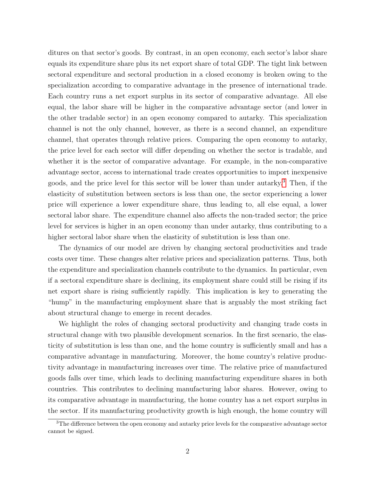ditures on that sector's goods. By contrast, in an open economy, each sector's labor share equals its expenditure share plus its net export share of total GDP. The tight link between sectoral expenditure and sectoral production in a closed economy is broken owing to the specialization according to comparative advantage in the presence of international trade. Each country runs a net export surplus in its sector of comparative advantage. All else equal, the labor share will be higher in the comparative advantage sector (and lower in the other tradable sector) in an open economy compared to autarky. This specialization channel is not the only channel, however, as there is a second channel, an expenditure channel, that operates through relative prices. Comparing the open economy to autarky, the price level for each sector will differ depending on whether the sector is tradable, and whether it is the sector of comparative advantage. For example, in the non-comparative advantage sector, access to international trade creates opportunities to import inexpensive goods, and the price level for this sector will be lower than under autarky.[3](#page--1-0) Then, if the elasticity of substitution between sectors is less than one, the sector experiencing a lower price will experience a lower expenditure share, thus leading to, all else equal, a lower sectoral labor share. The expenditure channel also affects the non-traded sector; the price level for services is higher in an open economy than under autarky, thus contributing to a higher sectoral labor share when the elasticity of substitution is less than one.

The dynamics of our model are driven by changing sectoral productivities and trade costs over time. These changes alter relative prices and specialization patterns. Thus, both the expenditure and specialization channels contribute to the dynamics. In particular, even if a sectoral expenditure share is declining, its employment share could still be rising if its net export share is rising sufficiently rapidly. This implication is key to generating the "hump" in the manufacturing employment share that is arguably the most striking fact about structural change to emerge in recent decades.

We highlight the roles of changing sectoral productivity and changing trade costs in structural change with two plausible development scenarios. In the first scenario, the elasticity of substitution is less than one, and the home country is sufficiently small and has a comparative advantage in manufacturing. Moreover, the home country's relative productivity advantage in manufacturing increases over time. The relative price of manufactured goods falls over time, which leads to declining manufacturing expenditure shares in both countries. This contributes to declining manufacturing labor shares. However, owing to its comparative advantage in manufacturing, the home country has a net export surplus in the sector. If its manufacturing productivity growth is high enough, the home country will

<sup>&</sup>lt;sup>3</sup>The difference between the open economy and autarky price levels for the comparative advantage sector cannot be signed.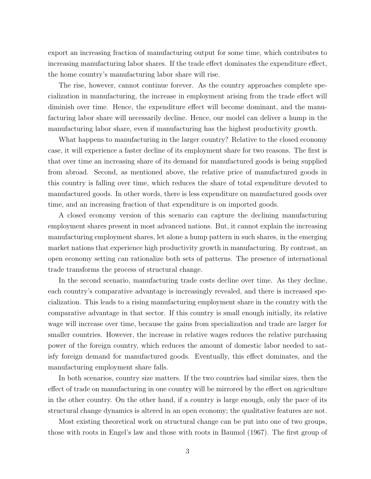export an increasing fraction of manufacturing output for some time, which contributes to increasing manufacturing labor shares. If the trade effect dominates the expenditure effect, the home country's manufacturing labor share will rise.

The rise, however, cannot continue forever. As the country approaches complete specialization in manufacturing, the increase in employment arising from the trade effect will diminish over time. Hence, the expenditure effect will become dominant, and the manufacturing labor share will necessarily decline. Hence, our model can deliver a hump in the manufacturing labor share, even if manufacturing has the highest productivity growth.

What happens to manufacturing in the larger country? Relative to the closed economy case, it will experience a faster decline of its employment share for two reasons. The first is that over time an increasing share of its demand for manufactured goods is being supplied from abroad. Second, as mentioned above, the relative price of manufactured goods in this country is falling over time, which reduces the share of total expenditure devoted to manufactured goods. In other words, there is less expenditure on manufactured goods over time, and an increasing fraction of that expenditure is on imported goods.

A closed economy version of this scenario can capture the declining manufacturing employment shares present in most advanced nations. But, it cannot explain the increasing manufacturing employment shares, let alone a hump pattern in such shares, in the emerging market nations that experience high productivity growth in manufacturing. By contrast, an open economy setting can rationalize both sets of patterns. The presence of international trade transforms the process of structural change.

In the second scenario, manufacturing trade costs decline over time. As they decline, each country's comparative advantage is increasingly revealed, and there is increased specialization. This leads to a rising manufacturing employment share in the country with the comparative advantage in that sector. If this country is small enough initially, its relative wage will increase over time, because the gains from specialization and trade are larger for smaller countries. However, the increase in relative wages reduces the relative purchasing power of the foreign country, which reduces the amount of domestic labor needed to satisfy foreign demand for manufactured goods. Eventually, this effect dominates, and the manufacturing employment share falls.

In both scenarios, country size matters. If the two countries had similar sizes, then the effect of trade on manufacturing in one country will be mirrored by the effect on agriculture in the other country. On the other hand, if a country is large enough, only the pace of its structural change dynamics is altered in an open economy; the qualitative features are not.

Most existing theoretical work on structural change can be put into one of two groups, those with roots in Engel's law and those with roots in Baumol (1967). The first group of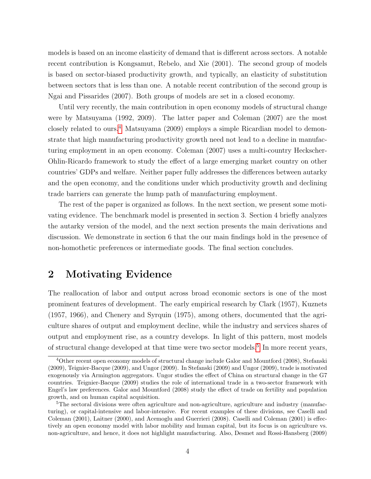models is based on an income elasticity of demand that is different across sectors. A notable recent contribution is Kongsamut, Rebelo, and Xie (2001). The second group of models is based on sector-biased productivity growth, and typically, an elasticity of substitution between sectors that is less than one. A notable recent contribution of the second group is Ngai and Pissarides (2007). Both groups of models are set in a closed economy.

Until very recently, the main contribution in open economy models of structural change were by Matsuyama (1992, 2009). The latter paper and Coleman (2007) are the most closely related to ours.[4](#page--1-0) Matsuyama (2009) employs a simple Ricardian model to demonstrate that high manufacturing productivity growth need not lead to a decline in manufacturing employment in an open economy. Coleman (2007) uses a multi-country Heckscher-Ohlin-Ricardo framework to study the effect of a large emerging market country on other countries' GDPs and welfare. Neither paper fully addresses the differences between autarky and the open economy, and the conditions under which productivity growth and declining trade barriers can generate the hump path of manufacturing employment.

The rest of the paper is organized as follows. In the next section, we present some motivating evidence. The benchmark model is presented in section 3. Section 4 briefly analyzes the autarky version of the model, and the next section presents the main derivations and discussion. We demonstrate in section 6 that the our main findings hold in the presence of non-homothetic preferences or intermediate goods. The final section concludes.

# 2 Motivating Evidence

The reallocation of labor and output across broad economic sectors is one of the most prominent features of development. The early empirical research by Clark (1957), Kuznets (1957, 1966), and Chenery and Syrquin (1975), among others, documented that the agriculture shares of output and employment decline, while the industry and services shares of output and employment rise, as a country develops. In light of this pattern, most models of structural change developed at that time were two sector models.<sup>[5](#page--1-0)</sup> In more recent years,

<sup>4</sup>Other recent open economy models of structural change include Galor and Mountford (2008), Stefanski (2009), Teignier-Bacque (2009), and Ungor (2009). In Stefanski (2009) and Ungor (2009), trade is motivated exogenously via Armington aggregators. Ungor studies the effect of China on structural change in the G7 countries. Teignier-Bacque (2009) studies the role of international trade in a two-sector framework with Engel's law preferences. Galor and Mountford (2008) study the effect of trade on fertility and population growth, and on human capital acquisition.

<sup>&</sup>lt;sup>5</sup>The sectoral divisions were often agriculture and non-agriculture, agriculture and industry (manufacturing), or capital-intensive and labor-intensive. For recent examples of these divisions, see Caselli and Coleman (2001), Laitner (2000), and Acemoglu and Guerrieri (2008). Caselli and Coleman (2001) is effectively an open economy model with labor mobility and human capital, but its focus is on agriculture vs. non-agriculture, and hence, it does not highlight manufacturing. Also, Desmet and Rossi-Hansberg (2009)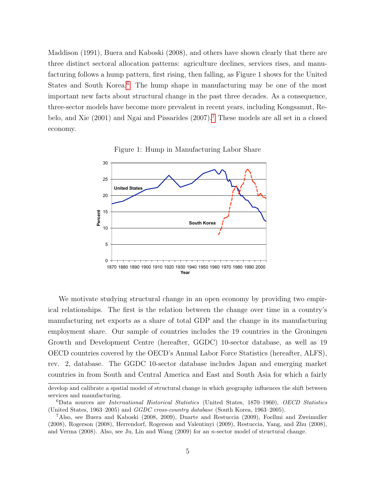Maddison (1991), Buera and Kaboski (2008), and others have shown clearly that there are three distinct sectoral allocation patterns: agriculture declines, services rises, and manufacturing follows a hump pattern, first rising, then falling, as Figure 1 shows for the United States and South Korea.<sup>[6](#page--1-0)</sup> The hump shape in manufacturing may be one of the most important new facts about structural change in the past three decades. As a consequence, three-sector models have become more prevalent in recent years, including Kongsamut, Rebelo, and Xie (2001) and Ngai and Pissarides (2007).[7](#page--1-0) These models are all set in a closed economy.





We motivate studying structural change in an open economy by providing two empirical relationships. The first is the relation between the change over time in a country's manufacturing net exports as a share of total GDP and the change in its manufacturing employment share. Our sample of countries includes the 19 countries in the Groningen Growth and Development Centre (hereafter, GGDC) 10-sector database, as well as 19 OECD countries covered by the OECD's Annual Labor Force Statistics (hereafter, ALFS), rev. 2, database. The GGDC 10-sector database includes Japan and emerging market countries in from South and Central America and East and South Asia for which a fairly

develop and calibrate a spatial model of structural change in which geography influences the shift between services and manufacturing.

<sup>6</sup>Data sources are International Historical Statistics (United States, 1870–1960), OECD Statistics (United States, 1963–2005) and GGDC cross-country database (South Korea, 1963–2005).

<sup>7</sup>Also, see Buera and Kaboski (2008, 2009), Duarte and Restuccia (2009), Foellmi and Zweimuller (2008), Rogerson (2008), Herrendorf, Rogerson and Valentinyi (2009), Restuccia, Yang, and Zhu (2008), and Verma (2008). Also, see Ju, Lin and Wang (2009) for an *n*-sector model of structural change.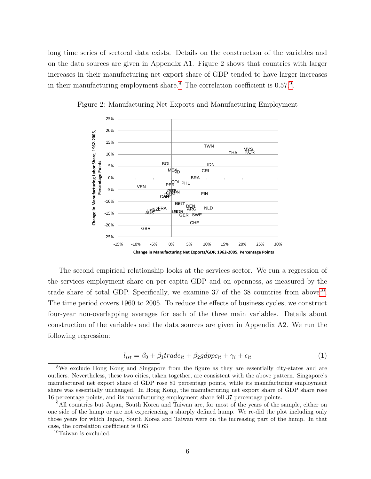long time series of sectoral data exists. Details on the construction of the variables and on the data sources are given in Appendix A1. Figure 2 shows that countries with larger increases in their manufacturing net export share of GDP tended to have larger increases in their manufacturing employment share.<sup>[8](#page--1-0)</sup> The correlation coefficient is 0.57.<sup>[9](#page--1-0)</sup>.



Figure 2: Manufacturing Net Exports and Manufacturing Employment

The second empirical relationship looks at the services sector. We run a regression of the services employment share on per capita GDP and on openness, as measured by the trade share of total GDP. Specifically, we examine  $37$  of the  $38$  countries from above<sup>[10](#page--1-0)</sup>. The time period covers 1960 to 2005. To reduce the effects of business cycles, we construct four-year non-overlapping averages for each of the three main variables. Details about construction of the variables and the data sources are given in Appendix A2. We run the following regression:

$$
l_{ist} = \beta_0 + \beta_1 trade_{it} + \beta_2 gdppc_{it} + \gamma_i + \epsilon_{it}
$$
\n<sup>(1)</sup>

<sup>8</sup>We exclude Hong Kong and Singapore from the figure as they are essentially city-states and are outliers. Nevertheless, these two cities, taken together, are consistent with the above pattern. Singapore's manufactured net export share of GDP rose 81 percentage points, while its manufacturing employment share was essentially unchanged. In Hong Kong, the manufacturing net export share of GDP share rose 16 percentage points, and its manufacturing employment share fell 37 percentage points.

<sup>9</sup>All countries but Japan, South Korea and Taiwan are, for most of the years of the sample, either on one side of the hump or are not experiencing a sharply defined hump. We re-did the plot including only those years for which Japan, South Korea and Taiwan were on the increasing part of the hump. In that case, the correlation coefficient is 0.63

<sup>10</sup>Taiwan is excluded.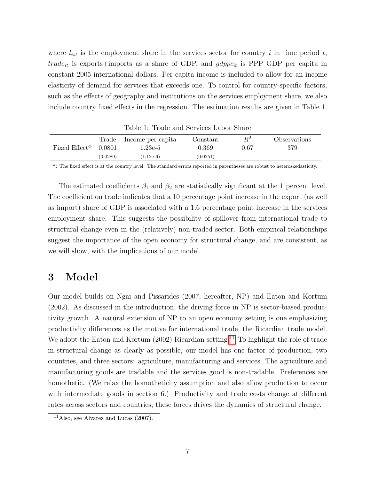where  $l_{ist}$  is the employment share in the services sector for country i in time period t,  $trade_{it}$  is exports+imports as a share of GDP, and  $gdppc_{it}$  is PPP GDP per capita in constant 2005 international dollars. Per capita income is included to allow for an income elasticity of demand for services that exceeds one. To control for country-specific factors, such as the effects of geography and institutions on the services employment share, we also include country fixed effects in the regression. The estimation results are given in Table 1.

|                 | Trade    | Income per capita | Constant | D2         | Observations |
|-----------------|----------|-------------------|----------|------------|--------------|
| Fixed $Effecta$ | 0.0801   | $1.23e-5$         | 0.369    | $\rm 0.67$ | 379          |
|                 | (0.0289) | $(1.12e-6)$       | (0.0251) |            |              |

Table 1: Trade and Services Labor Share

 $a$ : The fixed effect is at the country level. The standard errors reported in parentheses are robust to heteroskedasticity.

The estimated coefficients  $\beta_1$  and  $\beta_2$  are statistically significant at the 1 percent level. The coefficient on trade indicates that a 10 percentage point increase in the export (as well as import) share of GDP is associated with a 1.6 percentage point increase in the services employment share. This suggests the possibility of spillover from international trade to structural change even in the (relatively) non-traded sector. Both empirical relationships suggest the importance of the open economy for structural change, and are consistent, as we will show, with the implications of our model.

# 3 Model

Our model builds on Ngai and Pissarides (2007, hereafter, NP) and Eaton and Kortum (2002). As discussed in the introduction, the driving force in NP is sector-biased productivity growth. A natural extension of NP to an open economy setting is one emphasizing productivity differences as the motive for international trade, the Ricardian trade model. We adopt the Eaton and Kortum  $(2002)$  Ricardian setting.<sup>[11](#page--1-0)</sup> To highlight the role of trade in structural change as clearly as possible, our model has one factor of production, two countries, and three sectors: agriculture, manufacturing and services. The agriculture and manufacturing goods are tradable and the services good is non-tradable. Preferences are homothetic. (We relax the homotheticity assumption and also allow production to occur with intermediate goods in section 6.) Productivity and trade costs change at different rates across sectors and countries; these forces drives the dynamics of structural change.

<sup>&</sup>lt;sup>11</sup>Also, see Alvarez and Lucas  $(2007)$ .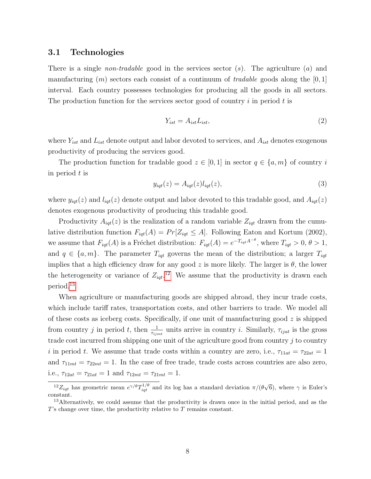### 3.1 Technologies

There is a single *non-tradable* good in the services sector  $(s)$ . The agriculture  $(a)$  and manufacturing  $(m)$  sectors each consist of a continuum of *tradable* goods along the  $[0, 1]$ interval. Each country possesses technologies for producing all the goods in all sectors. The production function for the services sector good of country i in period t is

<span id="page-9-0"></span>
$$
Y_{ist} = A_{ist} L_{ist},\tag{2}
$$

where  $Y_{ist}$  and  $L_{ist}$  denote output and labor devoted to services, and  $A_{ist}$  denotes exogenous productivity of producing the services good.

The production function for tradable good  $z \in [0,1]$  in sector  $q \in \{a,m\}$  of country i in period t is

<span id="page-9-1"></span>
$$
y_{iqt}(z) = A_{iqt}(z)l_{iqt}(z),
$$
\n(3)

where  $y_{iqt}(z)$  and  $l_{iqt}(z)$  denote output and labor devoted to this tradable good, and  $A_{iqt}(z)$ denotes exogenous productivity of producing this tradable good.

Productivity  $A_{iqt}(z)$  is the realization of a random variable  $Z_{iqt}$  drawn from the cumulative distribution function  $F_{iqt}(A) = Pr[Z_{iqt} \leq A]$ . Following Eaton and Kortum (2002), we assume that  $F_{iqt}(A)$  is a Fréchet distribution:  $F_{iqt}(A) = e^{-T_{iqt}A^{-\theta}}$ , where  $T_{iqt} > 0$ ,  $\theta > 1$ , and  $q \in \{a, m\}$ . The parameter  $T_{iqt}$  governs the mean of the distribution; a larger  $T_{iqt}$ implies that a high efficiency draw for any good z is more likely. The larger is  $\theta$ , the lower the heterogeneity or variance of  $Z_{iqt}$ .<sup>[12](#page--1-0)</sup> We assume that the productivity is drawn each period.[13](#page--1-0)

When agriculture or manufacturing goods are shipped abroad, they incur trade costs, which include tariff rates, transportation costs, and other barriers to trade. We model all of these costs as iceberg costs. Specifically, if one unit of manufacturing good  $z$  is shipped from country j in period t, then  $\frac{1}{\tau_{ijmt}}$  units arrive in country i. Similarly,  $\tau_{ijat}$  is the gross trade cost incurred from shipping one unit of the agriculture good from country j to country i in period t. We assume that trade costs within a country are zero, i.e.,  $\tau_{11at} = \tau_{22at} = 1$ and  $\tau_{11mt} = \tau_{22mt} = 1$ . In the case of free trade, trade costs across countries are also zero, i.e.,  $\tau_{12at} = \tau_{21at} = 1$  and  $\tau_{12mt} = \tau_{21mt} = 1$ .

<sup>&</sup>lt;sup>12</sup> $Z_{iqt}$  has geometric mean  $e^{\gamma/\theta}T_{iqt}^{1/\theta}$  and its log has a standard deviation  $\pi/(\theta)$ √ 6), where  $\gamma$  is Euler's constant.

<sup>&</sup>lt;sup>13</sup>Alternatively, we could assume that the productivity is drawn once in the initial period, and as the T's change over time, the productivity relative to T remains constant.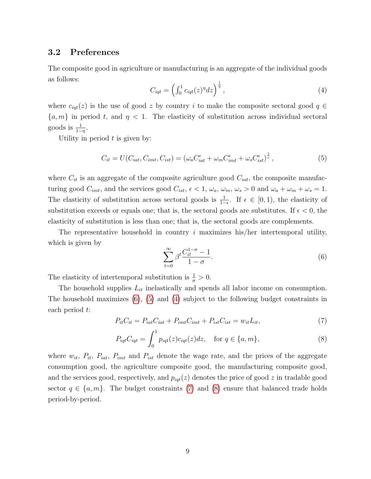### 3.2 Preferences

The composite good in agriculture or manufacturing is an aggregate of the individual goods as follows:

<span id="page-10-2"></span>
$$
C_{iqt} = \left(\int_0^1 c_{iqt}(z)^\eta dz\right)^{\frac{1}{\eta}},\tag{4}
$$

where  $c_{iqt}(z)$  is the use of good z by country i to make the composite sectoral good  $q \in$  $\{a, m\}$  in period t, and  $\eta < 1$ . The elasticity of substitution across individual sectoral goods is  $\frac{1}{1-\eta}$ .

Utility in period  $t$  is given by:

<span id="page-10-1"></span>
$$
C_{it} = U(C_{iat}, C_{imt}, C_{ist}) = \left(\omega_a C_{iat}^{\epsilon} + \omega_m C_{imt}^{\epsilon} + \omega_s C_{ist}^{\epsilon}\right)^{\frac{1}{\epsilon}},\tag{5}
$$

where  $C_{it}$  is an aggregate of the composite agriculture good  $C_{iat}$ , the composite manufacturing good  $C_{imt}$ , and the services good  $C_{ist}$ ,  $\epsilon < 1$ ,  $\omega_a$ ,  $\omega_m$ ,  $\omega_s > 0$  and  $\omega_a + \omega_m + \omega_s = 1$ . The elasticity of substitution across sectoral goods is  $\frac{1}{1-\epsilon}$ . If  $\epsilon \in [0,1)$ , the elasticity of substitution exceeds or equals one; that is, the sectoral goods are substitutes. If  $\epsilon < 0$ , the elasticity of substitution is less than one; that is, the sectoral goods are complements.

The representative household in country  $i$  maximizes his/her intertemporal utility, which is given by

<span id="page-10-0"></span>
$$
\sum_{t=0}^{\infty} \beta^t \frac{C_{it}^{1-\sigma} - 1}{1 - \sigma}.
$$
\n(6)

The elasticity of intertemporal substitution is  $\frac{1}{\sigma} > 0$ .

The household supplies  $L_{it}$  inelastically and spends all labor income on consumption. The household maximizes [\(6\)](#page-10-0), [\(5\)](#page-10-1) and [\(4\)](#page-10-2) subject to the following budget constraints in each period t:

<span id="page-10-3"></span>
$$
P_{it}C_{it} = P_{iat}C_{iat} + P_{imt}C_{imt} + P_{ist}C_{ist} = w_{it}L_{it},\tag{7}
$$

<span id="page-10-4"></span>
$$
P_{iqt}C_{iqt} = \int_0^1 p_{iqt}(z)c_{iqt}(z)dz, \text{ for } q \in \{a, m\},
$$
 (8)

where  $w_{it}$ ,  $P_{it}$ ,  $P_{iat}$ ,  $P_{imt}$  and  $P_{ist}$  denote the wage rate, and the prices of the aggregate consumption good, the agriculture composite good, the manufacturing composite good, and the services good, respectively, and  $p_{iqt}(z)$  denotes the price of good z in tradable good sector  $q \in \{a, m\}$ . The budget constraints [\(7\)](#page-10-3) and [\(8\)](#page-10-4) ensure that balanced trade holds period-by-period.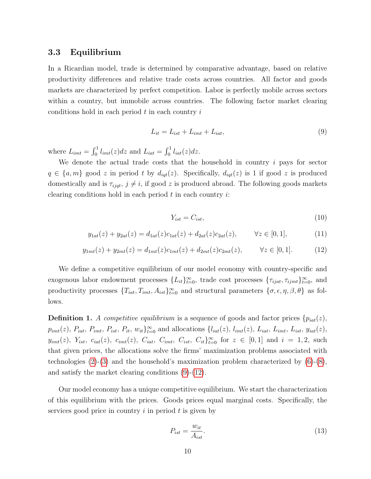### 3.3 Equilibrium

In a Ricardian model, trade is determined by comparative advantage, based on relative productivity differences and relative trade costs across countries. All factor and goods markets are characterized by perfect competition. Labor is perfectly mobile across sectors within a country, but immobile across countries. The following factor market clearing conditions hold in each period  $t$  in each country  $i$ 

<span id="page-11-0"></span>
$$
L_{it} = L_{ist} + L_{imt} + L_{iat},\tag{9}
$$

where  $L_{imt} = \int_0^1 l_{imt}(z) dz$  and  $L_{iat} = \int_0^1 l_{iat}(z) dz$ .

We denote the actual trade costs that the household in country  $i$  pays for sector  $q \in \{a, m\}$  good z in period t by  $d_{iqt}(z)$ . Specifically,  $d_{iqt}(z)$  is 1 if good z is produced domestically and is  $\tau_{ijqt}$ ,  $j \neq i$ , if good z is produced abroad. The following goods markets clearing conditions hold in each period  $t$  in each country  $i$ :

$$
Y_{ist} = C_{ist},\tag{10}
$$

$$
y_{1at}(z) + y_{2at}(z) = d_{1at}(z)c_{1at}(z) + d_{2at}(z)c_{2at}(z), \qquad \forall z \in [0,1],
$$
 (11)

<span id="page-11-1"></span>
$$
y_{1mt}(z) + y_{2mt}(z) = d_{1mt}(z)c_{1mt}(z) + d_{2mt}(z)c_{2mt}(z), \qquad \forall z \in [0, 1]. \tag{12}
$$

We define a competitive equilibrium of our model economy with country-specific and exogenous labor endowment processes  $\{L_{it}\}_{t=0}^{\infty}$ , trade cost processes  $\{\tau_{ijat}, \tau_{ijmt}\}_{t=0}^{\infty}$ , and productivity processes  $\{T_{iat}, T_{imt}, A_{ist}\}_{t=0}^{\infty}$  and structural parameters  $\{\sigma, \epsilon, \eta, \beta, \theta\}$  as follows.

**Definition 1.** A competitive equilibrium is a sequence of goods and factor prices  $\{p_{iat}(z),\}$  $p_{imt}(z)$ ,  $P_{iat}$ ,  $P_{imt}$ ,  $P_{ist}$ ,  $P_{it}$ ,  $w_{it}$ <sub> $i \in \{0, 0\}$ </sub> and allocations  $\{l_{iat}(z), l_{imt}(z), L_{iat}, L_{imt}, L_{ist}, y_{iat}(z), L_{int}, L_{int}$  $y_{imt}(z)$ ,  $Y_{ist}$ ,  $c_{iat}(z)$ ,  $c_{imt}(z)$ ,  $C_{iat}$ ,  $C_{imt}$ ,  $C_{ist}$ ,  $C_{it}$ ,  $C_{it}$  for  $z \in [0,1]$  and  $i = 1,2$ , such that given prices, the allocations solve the firms' maximization problems associated with technologies  $(2)-(3)$  $(2)-(3)$  and the household's maximization problem characterized by  $(6)-(8)$  $(6)-(8)$ , and satisfy the market clearing conditions [\(9\)](#page-11-0)-[\(12\)](#page-11-1).

Our model economy has a unique competitive equilibrium. We start the characterization of this equilibrium with the prices. Goods prices equal marginal costs. Specifically, the services good price in country  $i$  in period  $t$  is given by

$$
P_{ist} = \frac{w_{it}}{A_{ist}}.\tag{13}
$$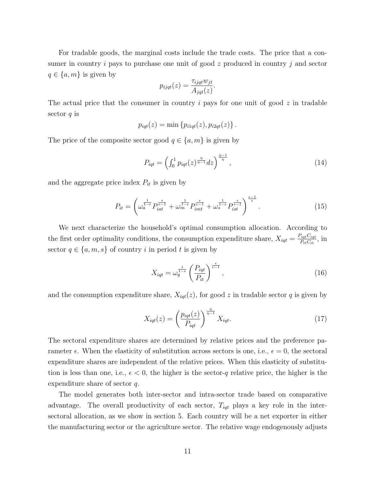For tradable goods, the marginal costs include the trade costs. The price that a consumer in country i pays to purchase one unit of good  $z$  produced in country j and sector  $q \in \{a, m\}$  is given by

$$
p_{ijqt}(z) = \frac{\tau_{ijqt}w_{jt}}{A_{jqt}(z)}.
$$

The actual price that the consumer in country i pays for one unit of good  $z$  in tradable sector  $q$  is

$$
p_{iqt}(z) = \min \{p_{i1qt}(z), p_{i2qt}(z)\}.
$$

The price of the composite sector good  $q \in \{a, m\}$  is given by

$$
P_{iqt} = \left(\int_0^1 p_{iqt}(z)^{\frac{\eta}{\eta-1}} dz\right)^{\frac{\eta-1}{\eta}},\tag{14}
$$

and the aggregate price index  $P_{it}$  is given by

<span id="page-12-1"></span>
$$
P_{it} = \left(\omega_a^{\frac{1}{1-\epsilon}} P_{iat}^{\frac{\epsilon}{\epsilon-1}} + \omega_m^{\frac{1}{1-\epsilon}} P_{imt}^{\frac{\epsilon}{\epsilon-1}} + \omega_s^{\frac{1}{1-\epsilon}} P_{ist}^{\frac{\epsilon}{\epsilon-1}}\right)^{\frac{\epsilon-1}{\epsilon}}.\tag{15}
$$

We next characterize the household's optimal consumption allocation. According to the first order optimality conditions, the consumption expenditure share,  $X_{iqt} = \frac{P_{iqt}C_{iqt}}{P_{i,t}C_{i,t}}$  $\frac{\tilde{u}_q_t C_{iqt}}{P_{it} C_{it}}, \text{ in}$ sector  $q \in \{a, m, s\}$  of country i in period t is given by

<span id="page-12-0"></span>
$$
X_{iqt} = \omega_q^{\frac{1}{1-\epsilon}} \left(\frac{P_{iqt}}{P_{it}}\right)^{\frac{\epsilon}{\epsilon-1}},\tag{16}
$$

and the consumption expenditure share,  $X_{iqt}(z)$ , for good z in tradable sector q is given by

$$
X_{iqt}(z) = \left(\frac{p_{iqt}(z)}{P_{iqt}}\right)^{\frac{\eta}{\eta-1}} X_{iqt}.
$$
\n(17)

The sectoral expenditure shares are determined by relative prices and the preference parameter  $\epsilon$ . When the elasticity of substitution across sectors is one, i.e.,  $\epsilon = 0$ , the sectoral expenditure shares are independent of the relative prices. When this elasticity of substitution is less than one, i.e.,  $\epsilon < 0$ , the higher is the sector-q relative price, the higher is the expenditure share of sector q.

The model generates both inter-sector and intra-sector trade based on comparative advantage. The overall productivity of each sector,  $T_{iqt}$  plays a key role in the intersectoral allocation, as we show in section 5. Each country will be a net exporter in either the manufacturing sector or the agriculture sector. The relative wage endogenously adjusts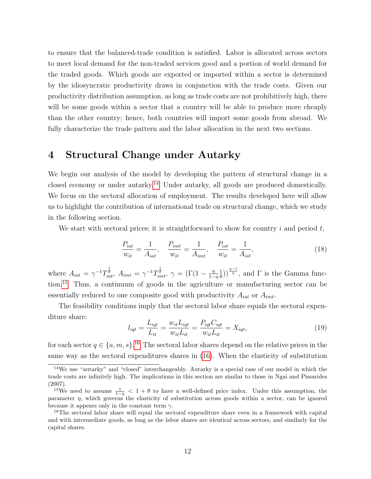to ensure that the balanced-trade condition is satisfied. Labor is allocated across sectors to meet local demand for the non-traded services good and a portion of world demand for the traded goods. Which goods are exported or imported within a sector is determined by the idiosyncratic productivity draws in conjunction with the trade costs. Given our productivity distribution assumption, as long as trade costs are not prohibitively high, there will be some goods within a sector that a country will be able to produce more cheaply than the other country; hence, both countries will import some goods from abroad. We fully characterize the trade pattern and the labor allocation in the next two sections.

# 4 Structural Change under Autarky

We begin our analysis of the model by developing the pattern of structural change in a closed economy or under autarky.[14](#page--1-0) Under autarky, all goods are produced domestically. We focus on the sectoral allocation of employment. The results developed here will allow us to highlight the contribution of international trade on structural change, which we study in the following section.

We start with sectoral prices; it is straightforward to show for country i and period  $t$ ,

<span id="page-13-0"></span>
$$
\frac{P_{iat}}{w_{it}} = \frac{1}{A_{iat}}, \quad \frac{P_{imt}}{w_{it}} = \frac{1}{A_{imt}}, \quad \frac{P_{ist}}{w_{it}} = \frac{1}{A_{ist}},\tag{18}
$$

where  $A_{iat} = \gamma^{-1} T_{iat}^{\frac{1}{\theta}}, A_{imt} = \gamma^{-1} T_{imt}^{\frac{1}{\theta}}, \ \gamma = (\Gamma(1 - \frac{\eta}{1 - \eta})$  $1-\eta$ 1  $\frac{1}{\theta}$ ))<sup> $\frac{\eta-1}{\eta}$ </sup>, and  $\Gamma$  is the Gamma function.[15](#page--1-0) Thus, a continuum of goods in the agriculture or manufacturing sector can be essentially reduced to one composite good with productivity  $A_{iat}$  or  $A_{imt}$ .

The feasibility conditions imply that the sectoral labor share equals the sectoral expenditure share:

$$
l_{iqt} = \frac{L_{iqt}}{L_{it}} = \frac{w_{it}L_{iqt}}{w_{it}L_{it}} = \frac{P_{iqt}C_{iqt}}{w_{it}L_{it}} = X_{iqt},\tag{19}
$$

for each sector  $q \in \{a, m, s\}$ .<sup>[16](#page--1-0)</sup> The sectoral labor shares depend on the relative prices in the same way as the sectoral expenditures shares in [\(16\)](#page-12-0). When the elasticity of substitution

<sup>14</sup>We use "autarky" and "closed" interchangeably. Autarky is a special case of our model in which the trade costs are infinitely high. The implications in this section are similar to those in Ngai and Pissarides (2007).

<sup>&</sup>lt;sup>15</sup>We need to assume  $\frac{1}{1-\eta} < 1+\theta$  to have a well-defined price index. Under this assumption, the parameter  $\eta$ , which governs the elasticity of substitution across goods within a sector, can be ignored because it appears only in the constant term  $\gamma$ .

<sup>&</sup>lt;sup>16</sup>The sectoral labor share will equal the sectoral expenditure share even in a framework with capital and with intermediate goods, as long as the labor shares are identical across sectors, and similarly for the capital shares.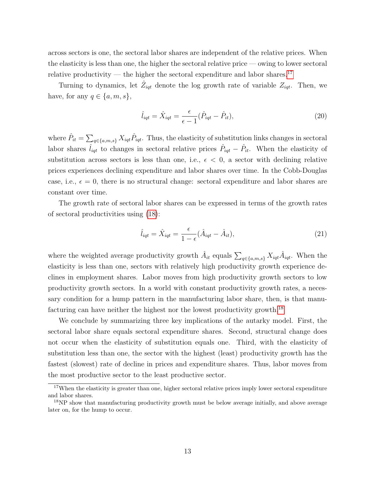across sectors is one, the sectoral labor shares are independent of the relative prices. When the elasticity is less than one, the higher the sectoral relative price — owing to lower sectoral relative productivity — the higher the sectoral expenditure and labor shares.<sup>[17](#page--1-0)</sup>

Turning to dynamics, let  $\hat{Z}_{iqt}$  denote the log growth rate of variable  $Z_{iqt}$ . Then, we have, for any  $q \in \{a, m, s\},\$ 

<span id="page-14-0"></span>
$$
\hat{l}_{\mathit{igt}} = \hat{X}_{\mathit{igt}} = \frac{\epsilon}{\epsilon - 1} (\hat{P}_{\mathit{igt}} - \hat{P}_{\mathit{it}}),\tag{20}
$$

where  $\hat{P}_{it} = \sum_{q \in \{a,m,s\}} X_{iqt} \hat{P}_{iqt}$ . Thus, the elasticity of substitution links changes in sectoral labor shares  $\hat{l}_{iqt}$  to changes in sectoral relative prices  $\hat{P}_{iqt} - \hat{P}_{it}$ . When the elasticity of substitution across sectors is less than one, i.e.,  $\epsilon$  < 0, a sector with declining relative prices experiences declining expenditure and labor shares over time. In the Cobb-Douglas case, i.e.,  $\epsilon = 0$ , there is no structural change: sectoral expenditure and labor shares are constant over time.

The growth rate of sectoral labor shares can be expressed in terms of the growth rates of sectoral productivities using [\(18\)](#page-13-0):

$$
\hat{l}_{\mathit{igt}} = \hat{X}_{\mathit{igt}} = \frac{\epsilon}{1 - \epsilon} (\hat{A}_{\mathit{igt}} - \hat{A}_{\mathit{it}}),\tag{21}
$$

where the weighted average productivity growth  $\hat{A}_{it}$  equals  $\sum_{q \in \{a,m,s\}} X_{iqt} \hat{A}_{iqt}$ . When the elasticity is less than one, sectors with relatively high productivity growth experience declines in employment shares. Labor moves from high productivity growth sectors to low productivity growth sectors. In a world with constant productivity growth rates, a necessary condition for a hump pattern in the manufacturing labor share, then, is that manu-facturing can have neither the highest nor the lowest productivity growth.<sup>[18](#page--1-0)</sup>

We conclude by summarizing three key implications of the autarky model. First, the sectoral labor share equals sectoral expenditure shares. Second, structural change does not occur when the elasticity of substitution equals one. Third, with the elasticity of substitution less than one, the sector with the highest (least) productivity growth has the fastest (slowest) rate of decline in prices and expenditure shares. Thus, labor moves from the most productive sector to the least productive sector.

<sup>&</sup>lt;sup>17</sup>When the elasticity is greater than one, higher sectoral relative prices imply lower sectoral expenditure and labor shares.

<sup>&</sup>lt;sup>18</sup>NP show that manufacturing productivity growth must be below average initially, and above average later on, for the hump to occur.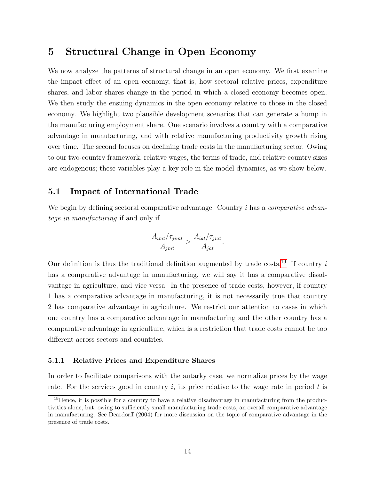# 5 Structural Change in Open Economy

We now analyze the patterns of structural change in an open economy. We first examine the impact effect of an open economy, that is, how sectoral relative prices, expenditure shares, and labor shares change in the period in which a closed economy becomes open. We then study the ensuing dynamics in the open economy relative to those in the closed economy. We highlight two plausible development scenarios that can generate a hump in the manufacturing employment share. One scenario involves a country with a comparative advantage in manufacturing, and with relative manufacturing productivity growth rising over time. The second focuses on declining trade costs in the manufacturing sector. Owing to our two-country framework, relative wages, the terms of trade, and relative country sizes are endogenous; these variables play a key role in the model dynamics, as we show below.

### 5.1 Impact of International Trade

We begin by defining sectoral comparative advantage. Country i has a *comparative advan*tage in manufacturing if and only if

$$
\frac{A_{imt}/\tau_{jimt}}{A_{jmt}} > \frac{A_{iat}/\tau_{jiat}}{A_{jat}}.
$$

Our definition is thus the traditional definition augmented by trade costs.<sup>[19](#page--1-0)</sup> If country i has a comparative advantage in manufacturing, we will say it has a comparative disadvantage in agriculture, and vice versa. In the presence of trade costs, however, if country 1 has a comparative advantage in manufacturing, it is not necessarily true that country 2 has comparative advantage in agriculture. We restrict our attention to cases in which one country has a comparative advantage in manufacturing and the other country has a comparative advantage in agriculture, which is a restriction that trade costs cannot be too different across sectors and countries.

#### 5.1.1 Relative Prices and Expenditure Shares

In order to facilitate comparisons with the autarky case, we normalize prices by the wage rate. For the services good in country i, its price relative to the wage rate in period  $t$  is

<sup>&</sup>lt;sup>19</sup>Hence, it is possible for a country to have a relative disadvantage in manufacturing from the productivities alone, but, owing to sufficiently small manufacturing trade costs, an overall comparative advantage in manufacturing. See Deardorff (2004) for more discussion on the topic of comparative advantage in the presence of trade costs.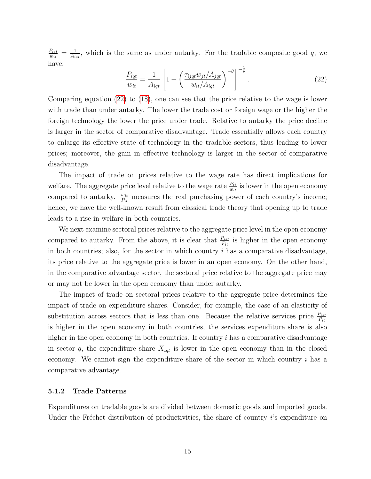$P_{ist}$  $\frac{P_{ist}}{w_{it}} = \frac{1}{A_i}$  $\frac{1}{A_{ist}}$ , which is the same as under autarky. For the tradable composite good q, we have:

<span id="page-16-0"></span>
$$
\frac{P_{iqt}}{w_{it}} = \frac{1}{A_{iqt}} \left[ 1 + \left( \frac{\tau_{ijqt} w_{jt} / A_{jqt}}{w_{it} / A_{iqt}} \right)^{-\theta} \right]^{-\frac{1}{\theta}}.
$$
\n(22)

Comparing equation [\(22\)](#page-16-0) to [\(18\)](#page-13-0), one can see that the price relative to the wage is lower with trade than under autarky. The lower the trade cost or foreign wage or the higher the foreign technology the lower the price under trade. Relative to autarky the price decline is larger in the sector of comparative disadvantage. Trade essentially allows each country to enlarge its effective state of technology in the tradable sectors, thus leading to lower prices; moreover, the gain in effective technology is larger in the sector of comparative disadvantage.

The impact of trade on prices relative to the wage rate has direct implications for welfare. The aggregate price level relative to the wage rate  $\frac{P_{it}}{w_{it}}$  is lower in the open economy compared to autarky.  $\frac{w_{it}}{P_{it}}$  measures the real purchasing power of each country's income; hence, we have the well-known result from classical trade theory that opening up to trade leads to a rise in welfare in both countries.

We next examine sectoral prices relative to the aggregate price level in the open economy compared to autarky. From the above, it is clear that  $\frac{P_{ist}}{P_{it}}$  is higher in the open economy in both countries; also, for the sector in which country  $i$  has a comparative disadvantage, its price relative to the aggregate price is lower in an open economy. On the other hand, in the comparative advantage sector, the sectoral price relative to the aggregate price may or may not be lower in the open economy than under autarky.

The impact of trade on sectoral prices relative to the aggregate price determines the impact of trade on expenditure shares. Consider, for example, the case of an elasticity of substitution across sectors that is less than one. Because the relative services price  $\frac{P_{ist}}{P_{it}}$ is higher in the open economy in both countries, the services expenditure share is also higher in the open economy in both countries. If country  $i$  has a comparative disadvantage in sector q, the expenditure share  $X_{iqt}$  is lower in the open economy than in the closed economy. We cannot sign the expenditure share of the sector in which country  $i$  has a comparative advantage.

#### 5.1.2 Trade Patterns

Expenditures on tradable goods are divided between domestic goods and imported goods. Under the Fréchet distribution of productivities, the share of country  $i$ 's expenditure on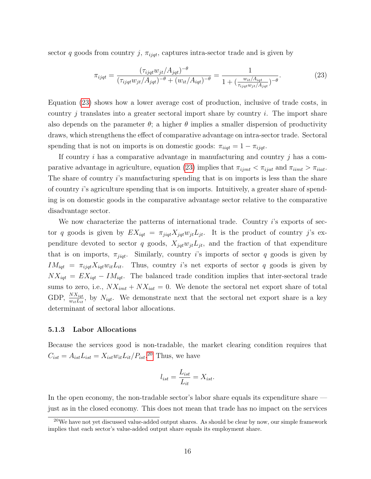sector q goods from country j,  $\pi_{i\dot{q}t}$ , captures intra-sector trade and is given by

<span id="page-17-0"></span>
$$
\pi_{ijqt} = \frac{(\tau_{ijqt} w_{jt} / A_{jqt})^{-\theta}}{(\tau_{ijqt} w_{jt} / A_{jqt})^{-\theta} + (w_{it} / A_{iqt})^{-\theta}} = \frac{1}{1 + (\frac{w_{it} / A_{iqt}}{\tau_{ijqt} w_{jt} / A_{jqt}})^{-\theta}}.
$$
\n(23)

Equation [\(23\)](#page-17-0) shows how a lower average cost of production, inclusive of trade costs, in country j translates into a greater sectoral import share by country  $i$ . The import share also depends on the parameter  $\theta$ ; a higher  $\theta$  implies a smaller dispersion of productivity draws, which strengthens the effect of comparative advantage on intra-sector trade. Sectoral spending that is not on imports is on domestic goods:  $\pi_{iiqt} = 1 - \pi_{ijqt}$ .

If country  $i$  has a comparative advantage in manufacturing and country  $j$  has a com-parative advantage in agriculture, equation [\(23\)](#page-17-0) implies that  $\pi_{ijmt} < \pi_{ijat}$  and  $\pi_{iimt} > \pi_{iiat}$ . The share of country i's manufacturing spending that is on imports is less than the share of country i's agriculture spending that is on imports. Intuitively, a greater share of spending is on domestic goods in the comparative advantage sector relative to the comparative disadvantage sector.

We now characterize the patterns of international trade. Country i's exports of sector q goods is given by  $EX_{iqt} = \pi_{jiqt}X_{jqt}w_{jt}L_{jt}$ . It is the product of country j's expenditure devoted to sector q goods,  $X_{jqt}w_{jt}L_{jt}$ , and the fraction of that expenditure that is on imports,  $\pi_{jiqt}$ . Similarly, country is imports of sector q goods is given by  $IM_{iqt} = \pi_{ijqt} X_{iqt} w_{it} L_{it}$ . Thus, country i's net exports of sector q goods is given by  $NX_{iqt} = EX_{iqt} - IM_{iqt}$ . The balanced trade condition implies that inter-sectoral trade sums to zero, i.e.,  $NX_{imt} + NX_{iat} = 0$ . We denote the sectoral net export share of total GDP,  $\frac{NX_{igt}}{w_{it}Li_{it}}$ , by  $N_{igt}$ . We demonstrate next that the sectoral net export share is a key determinant of sectoral labor allocations.

#### 5.1.3 Labor Allocations

Because the services good is non-tradable, the market clearing condition requires that  $C_{ist} = A_{ist}L_{ist} = X_{ist}w_{it}L_{it}/P_{ist}.^{20}$  $C_{ist} = A_{ist}L_{ist} = X_{ist}w_{it}L_{it}/P_{ist}.^{20}$  $C_{ist} = A_{ist}L_{ist} = X_{ist}w_{it}L_{it}/P_{ist}.^{20}$  Thus, we have

$$
l_{ist} = \frac{L_{ist}}{L_{it}} = X_{ist}.
$$

In the open economy, the non-tradable sector's labor share equals its expenditure share just as in the closed economy. This does not mean that trade has no impact on the services

 $^{20}$ We have not yet discussed value-added output shares. As should be clear by now, our simple framework implies that each sector's value-added output share equals its employment share.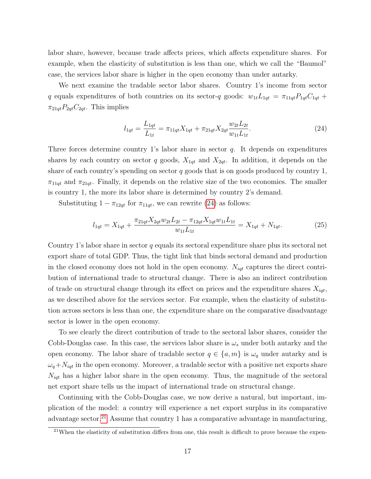labor share, however, because trade affects prices, which affects expenditure shares. For example, when the elasticity of substitution is less than one, which we call the "Baumol" case, the services labor share is higher in the open economy than under autarky.

We next examine the tradable sector labor shares. Country 1's income from sector q equals expenditures of both countries on its sector-q goods:  $w_{1t}L_{1qt} = \pi_{11qt}P_{1qt}C_{1qt} +$  $\pi_{21qt}P_{2qt}C_{2qt}$ . This implies

<span id="page-18-0"></span>
$$
l_{1qt} = \frac{L_{1qt}}{L_{1t}} = \pi_{11qt} X_{1qt} + \pi_{21qt} X_{2qt} \frac{w_{2t} L_{2t}}{w_{1t} L_{1t}}.
$$
\n(24)

Three forces determine country 1's labor share in sector q. It depends on expenditures shares by each country on sector q goods,  $X_{1qt}$  and  $X_{2qt}$ . In addition, it depends on the share of each country's spending on sector  $q$  goods that is on goods produced by country 1,  $\pi_{11qt}$  and  $\pi_{21qt}$ . Finally, it depends on the relative size of the two economies. The smaller is country 1, the more its labor share is determined by country 2's demand.

Substituting  $1 - \pi_{12qt}$  for  $\pi_{11qt}$ , we can rewrite [\(24\)](#page-18-0) as follows:

<span id="page-18-1"></span>
$$
l_{1qt} = X_{1qt} + \frac{\pi_{21qt} X_{2qt} w_{2t} L_{2t} - \pi_{12qt} X_{1qt} w_{1t} L_{1t}}{w_{1t} L_{1t}} = X_{1qt} + N_{1qt}.
$$
\n(25)

Country 1's labor share in sector q equals its sectoral expenditure share plus its sectoral net export share of total GDP. Thus, the tight link that binds sectoral demand and production in the closed economy does not hold in the open economy.  $N_{iqt}$  captures the direct contribution of international trade to structural change. There is also an indirect contribution of trade on structural change through its effect on prices and the expenditure shares  $X_{iqt}$ , as we described above for the services sector. For example, when the elasticity of substitution across sectors is less than one, the expenditure share on the comparative disadvantage sector is lower in the open economy.

To see clearly the direct contribution of trade to the sectoral labor shares, consider the Cobb-Douglas case. In this case, the services labor share is  $\omega_s$  under both autarky and the open economy. The labor share of tradable sector  $q \in \{a, m\}$  is  $\omega_q$  under autarky and is  $\omega_q+N_{iqt}$  in the open economy. Moreover, a tradable sector with a positive net exports share  $N_{iqt}$  has a higher labor share in the open economy. Thus, the magnitude of the sectoral net export share tells us the impact of international trade on structural change.

Continuing with the Cobb-Douglas case, we now derive a natural, but important, implication of the model: a country will experience a net export surplus in its comparative advantage sector.<sup>[21](#page--1-0)</sup> Assume that country 1 has a comparative advantage in manufacturing,

 $21$ When the elasticity of substitution differs from one, this result is difficult to prove because the expen-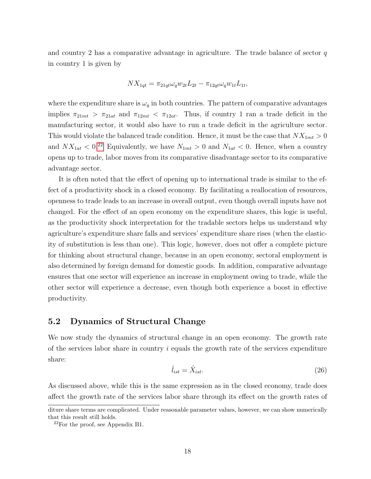and country 2 has a comparative advantage in agriculture. The trade balance of sector  $q$ in country 1 is given by

$$
NX_{1qt} = \pi_{21qt}\omega_q w_{2t}L_{2t} - \pi_{12qt}\omega_q w_{1t}L_{1t},
$$

where the expenditure share is  $\omega_q$  in both countries. The pattern of comparative advantages implies  $\pi_{21mt} > \pi_{21at}$  and  $\pi_{12mt} < \pi_{12at}$ . Thus, if country 1 ran a trade deficit in the manufacturing sector, it would also have to run a trade deficit in the agriculture sector. This would violate the balanced trade condition. Hence, it must be the case that  $NX_{1mt} > 0$ and  $NX_{1at} < 0.^{22}$  $NX_{1at} < 0.^{22}$  $NX_{1at} < 0.^{22}$  Equivalently, we have  $N_{1mt} > 0$  and  $N_{1at} < 0$ . Hence, when a country opens up to trade, labor moves from its comparative disadvantage sector to its comparative advantage sector.

It is often noted that the effect of opening up to international trade is similar to the effect of a productivity shock in a closed economy. By facilitating a reallocation of resources, openness to trade leads to an increase in overall output, even though overall inputs have not changed. For the effect of an open economy on the expenditure shares, this logic is useful, as the productivity shock interpretation for the tradable sectors helps us understand why agriculture's expenditure share falls and services' expenditure share rises (when the elasticity of substitution is less than one). This logic, however, does not offer a complete picture for thinking about structural change, because in an open economy, sectoral employment is also determined by foreign demand for domestic goods. In addition, comparative advantage ensures that one sector will experience an increase in employment owing to trade, while the other sector will experience a decrease, even though both experience a boost in effective productivity.

### 5.2 Dynamics of Structural Change

We now study the dynamics of structural change in an open economy. The growth rate of the services labor share in country  $i$  equals the growth rate of the services expenditure share:

$$
\hat{l}_{ist} = \hat{X}_{ist}.\tag{26}
$$

As discussed above, while this is the same expression as in the closed economy, trade does affect the growth rate of the services labor share through its effect on the growth rates of

diture share terms are complicated. Under reasonable parameter values, however, we can show numerically that this result still holds.

 $22$ For the proof, see Appendix B1.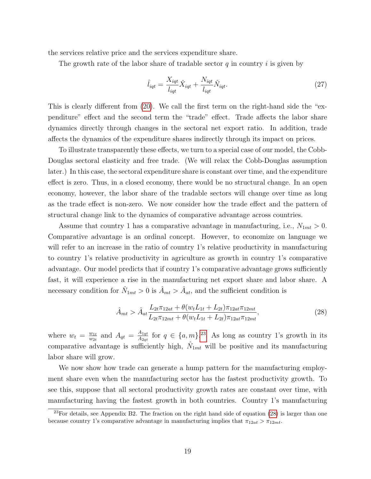the services relative price and the services expenditure share.

The growth rate of the labor share of tradable sector  $q$  in country i is given by

$$
\hat{l}_{iqt} = \frac{X_{iqt}}{l_{iqt}} \hat{X}_{iqt} + \frac{N_{iqt}}{l_{iqt}} \hat{N}_{iqt}.
$$
\n(27)

This is clearly different from [\(20\)](#page-14-0). We call the first term on the right-hand side the "expenditure" effect and the second term the "trade" effect. Trade affects the labor share dynamics directly through changes in the sectoral net export ratio. In addition, trade affects the dynamics of the expenditure shares indirectly through its impact on prices.

To illustrate transparently these effects, we turn to a special case of our model, the Cobb-Douglas sectoral elasticity and free trade. (We will relax the Cobb-Douglas assumption later.) In this case, the sectoral expenditure share is constant over time, and the expenditure effect is zero. Thus, in a closed economy, there would be no structural change. In an open economy, however, the labor share of the tradable sectors will change over time as long as the trade effect is non-zero. We now consider how the trade effect and the pattern of structural change link to the dynamics of comparative advantage across countries.

Assume that country 1 has a comparative advantage in manufacturing, i.e.,  $N_{1mt} > 0$ . Comparative advantage is an ordinal concept. However, to economize on language we will refer to an increase in the ratio of country 1's relative productivity in manufacturing to country 1's relative productivity in agriculture as growth in country 1's comparative advantage. Our model predicts that if country 1's comparative advantage grows sufficiently fast, it will experience a rise in the manufacturing net export share and labor share. A necessary condition for  $\hat{N}_{1mt} > 0$  is  $\hat{A}_{mt} > \hat{A}_{at}$ , and the sufficient condition is

<span id="page-20-0"></span>
$$
\hat{A}_{mt} > \hat{A}_{at} \frac{L_{2t}\pi_{12at} + \theta(w_t L_{1t} + L_{2t})\pi_{12at}\pi_{12mt}}{L_{2t}\pi_{12mt} + \theta(w_t L_{1t} + L_{2t})\pi_{12at}\pi_{12mt}},
$$
\n(28)

where  $w_t = \frac{w_{1t}}{w_{2t}}$  $\frac{w_{1t}}{w_{2t}}$  and  $A_{qt} = \frac{A_{1qt}}{A_{2qt}}$  $\frac{A_{1qt}}{A_{2qt}}$  for  $q \in \{a,m\}.^{23}$  $q \in \{a,m\}.^{23}$  $q \in \{a,m\}.^{23}$  As long as country 1's growth in its comparative advantage is sufficiently high,  $\hat{N}_{1mt}$  will be positive and its manufacturing labor share will grow.

We now show how trade can generate a hump pattern for the manufacturing employment share even when the manufacturing sector has the fastest productivity growth. To see this, suppose that all sectoral productivity growth rates are constant over time, with manufacturing having the fastest growth in both countries. Country 1's manufacturing

 $^{23}$ For details, see Appendix B2. The fraction on the right hand side of equation [\(28\)](#page-20-0) is larger than one because country 1's comparative advantage in manufacturing implies that  $\pi_{12at} > \pi_{12mt}$ .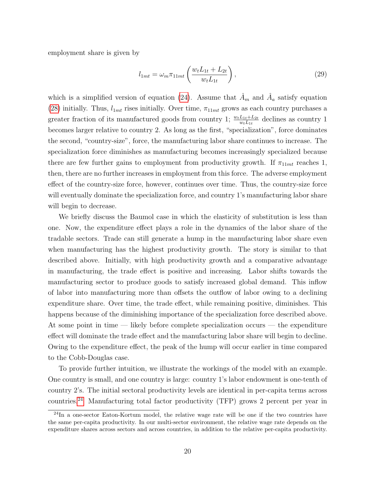employment share is given by

$$
l_{1mt} = \omega_m \pi_{11mt} \left( \frac{w_t L_{1t} + L_{2t}}{w_t L_{1t}} \right),
$$
\n(29)

which is a simplified version of equation [\(24\)](#page-18-0). Assume that  $\hat{A}_m$  and  $\hat{A}_a$  satisfy equation [\(28\)](#page-20-0) initially. Thus,  $l_{1mt}$  rises initially. Over time,  $\pi_{11mt}$  grows as each country purchases a greater fraction of its manufactured goods from country 1;  $\frac{w_t L_{1t} + L_{2t}}{w_t L_{1t}}$  declines as country 1 becomes larger relative to country 2. As long as the first, "specialization", force dominates the second, "country-size", force, the manufacturing labor share continues to increase. The specialization force diminishes as manufacturing becomes increasingly specialized because there are few further gains to employment from productivity growth. If  $\pi_{11mt}$  reaches 1, then, there are no further increases in employment from this force. The adverse employment effect of the country-size force, however, continues over time. Thus, the country-size force will eventually dominate the specialization force, and country 1's manufacturing labor share will begin to decrease.

We briefly discuss the Baumol case in which the elasticity of substitution is less than one. Now, the expenditure effect plays a role in the dynamics of the labor share of the tradable sectors. Trade can still generate a hump in the manufacturing labor share even when manufacturing has the highest productivity growth. The story is similar to that described above. Initially, with high productivity growth and a comparative advantage in manufacturing, the trade effect is positive and increasing. Labor shifts towards the manufacturing sector to produce goods to satisfy increased global demand. This inflow of labor into manufacturing more than offsets the outflow of labor owing to a declining expenditure share. Over time, the trade effect, while remaining positive, diminishes. This happens because of the diminishing importance of the specialization force described above. At some point in time — likely before complete specialization occurs — the expenditure effect will dominate the trade effect and the manufacturing labor share will begin to decline. Owing to the expenditure effect, the peak of the hump will occur earlier in time compared to the Cobb-Douglas case.

To provide further intuition, we illustrate the workings of the model with an example. One country is small, and one country is large: country 1's labor endowment is one-tenth of country 2's. The initial sectoral productivity levels are identical in per-capita terms across countries.[24](#page--1-0) Manufacturing total factor productivity (TFP) grows 2 percent per year in

<sup>&</sup>lt;sup>24</sup>In a one-sector Eaton-Kortum model, the relative wage rate will be one if the two countries have the same per-capita productivity. In our multi-sector environment, the relative wage rate depends on the expenditure shares across sectors and across countries, in addition to the relative per-capita productivity.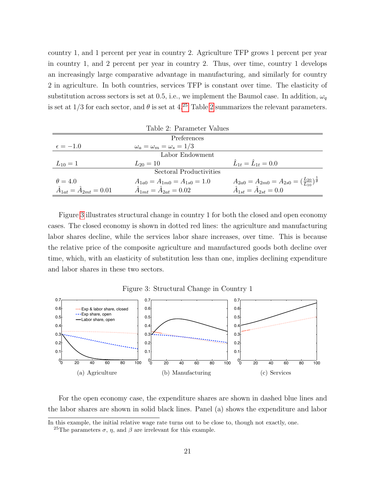country 1, and 1 percent per year in country 2. Agriculture TFP grows 1 percent per year in country 1, and 2 percent per year in country 2. Thus, over time, country 1 develops an increasingly large comparative advantage in manufacturing, and similarly for country 2 in agriculture. In both countries, services TFP is constant over time. The elasticity of substitution across sectors is set at 0.5, i.e., we implement the Baumol case. In addition,  $\omega_q$ is set at  $1/3$  for each sector, and  $\theta$  is set at  $4.^{25}$  $4.^{25}$  $4.^{25}$  Table [2](#page-22-0) summarizes the relevant parameters.

<span id="page-22-0"></span>

| Table 2: Parameter Values              |                                        |                                                                            |  |  |
|----------------------------------------|----------------------------------------|----------------------------------------------------------------------------|--|--|
| Preferences                            |                                        |                                                                            |  |  |
| $\epsilon = -1.0$                      | $\omega_a = \omega_m = \omega_s = 1/3$ |                                                                            |  |  |
| Labor Endowment                        |                                        |                                                                            |  |  |
| $L_{10} = 1$                           | $L_{20} = 10$                          | $\hat{L}_{1t} = \hat{L}_{1t} = 0.0$                                        |  |  |
| Sectoral Productivities                |                                        |                                                                            |  |  |
| $\theta = 4.0$                         | $A_{1a0} = A_{1m0} = A_{1s0} = 1.0$    | $A_{2a0} = A_{2m0} = A_{2s0} = (\frac{L_{20}}{L_{10}})^{\frac{1}{\theta}}$ |  |  |
| $\hat{A}_{1at} = \hat{A}_{2mt} = 0.01$ | $\hat{A}_{1mt} = \hat{A}_{2at} = 0.02$ | $\hat{A}_{1st} = \hat{A}_{2st} = 0.0$                                      |  |  |

Figure [3](#page-22-1) illustrates structural change in country 1 for both the closed and open economy cases. The closed economy is shown in dotted red lines: the agriculture and manufacturing labor shares decline, while the services labor share increases, over time. This is because the relative price of the composite agriculture and manufactured goods both decline over time, which, with an elasticity of substitution less than one, implies declining expenditure and labor shares in these two sectors.

<span id="page-22-1"></span>Figure 3: Structural Change in Country 1



For the open economy case, the expenditure shares are shown in dashed blue lines and the labor shares are shown in solid black lines. Panel (a) shows the expenditure and labor

In this example, the initial relative wage rate turns out to be close to, though not exactly, one.

<sup>&</sup>lt;sup>25</sup>The parameters  $\sigma$ ,  $\eta$ , and  $\beta$  are irrelevant for this example.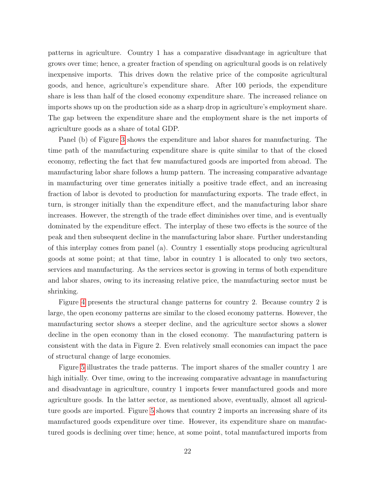patterns in agriculture. Country 1 has a comparative disadvantage in agriculture that grows over time; hence, a greater fraction of spending on agricultural goods is on relatively inexpensive imports. This drives down the relative price of the composite agricultural goods, and hence, agriculture's expenditure share. After 100 periods, the expenditure share is less than half of the closed economy expenditure share. The increased reliance on imports shows up on the production side as a sharp drop in agriculture's employment share. The gap between the expenditure share and the employment share is the net imports of agriculture goods as a share of total GDP.

Panel (b) of Figure [3](#page-22-1) shows the expenditure and labor shares for manufacturing. The time path of the manufacturing expenditure share is quite similar to that of the closed economy, reflecting the fact that few manufactured goods are imported from abroad. The manufacturing labor share follows a hump pattern. The increasing comparative advantage in manufacturing over time generates initially a positive trade effect, and an increasing fraction of labor is devoted to production for manufacturing exports. The trade effect, in turn, is stronger initially than the expenditure effect, and the manufacturing labor share increases. However, the strength of the trade effect diminishes over time, and is eventually dominated by the expenditure effect. The interplay of these two effects is the source of the peak and then subsequent decline in the manufacturing labor share. Further understanding of this interplay comes from panel (a). Country 1 essentially stops producing agricultural goods at some point; at that time, labor in country 1 is allocated to only two sectors, services and manufacturing. As the services sector is growing in terms of both expenditure and labor shares, owing to its increasing relative price, the manufacturing sector must be shrinking.

Figure [4](#page-24-0) presents the structural change patterns for country 2. Because country 2 is large, the open economy patterns are similar to the closed economy patterns. However, the manufacturing sector shows a steeper decline, and the agriculture sector shows a slower decline in the open economy than in the closed economy. The manufacturing pattern is consistent with the data in Figure 2. Even relatively small economies can impact the pace of structural change of large economies.

Figure [5](#page-24-1) illustrates the trade patterns. The import shares of the smaller country 1 are high initially. Over time, owing to the increasing comparative advantage in manufacturing and disadvantage in agriculture, country 1 imports fewer manufactured goods and more agriculture goods. In the latter sector, as mentioned above, eventually, almost all agriculture goods are imported. Figure [5](#page-24-1) shows that country 2 imports an increasing share of its manufactured goods expenditure over time. However, its expenditure share on manufactured goods is declining over time; hence, at some point, total manufactured imports from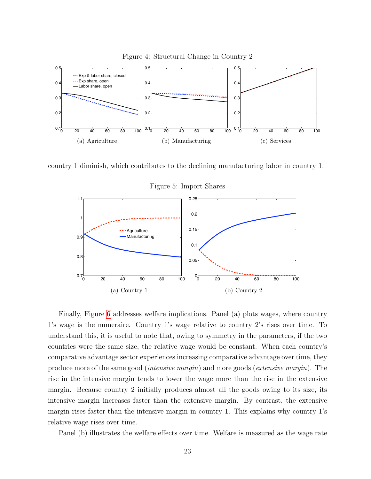<span id="page-24-0"></span>

country 1 diminish, which contributes to the declining manufacturing labor in country 1.



<span id="page-24-1"></span>Figure 5: Import Shares

Finally, Figure [6](#page-25-0) addresses welfare implications. Panel (a) plots wages, where country 1's wage is the numeraire. Country 1's wage relative to country 2's rises over time. To understand this, it is useful to note that, owing to symmetry in the parameters, if the two countries were the same size, the relative wage would be constant. When each country's comparative advantage sector experiences increasing comparative advantage over time, they produce more of the same good (intensive margin) and more goods (extensive margin). The rise in the intensive margin tends to lower the wage more than the rise in the extensive margin. Because country 2 initially produces almost all the goods owing to its size, its intensive margin increases faster than the extensive margin. By contrast, the extensive margin rises faster than the intensive margin in country 1. This explains why country 1's relative wage rises over time.

Panel (b) illustrates the welfare effects over time. Welfare is measured as the wage rate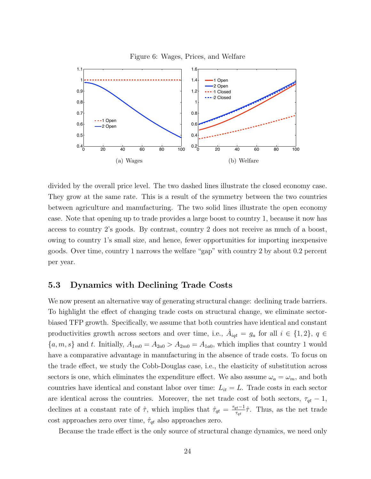<span id="page-25-0"></span>



divided by the overall price level. The two dashed lines illustrate the closed economy case. They grow at the same rate. This is a result of the symmetry between the two countries between agriculture and manufacturing. The two solid lines illustrate the open economy case. Note that opening up to trade provides a large boost to country 1, because it now has access to country 2's goods. By contrast, country 2 does not receive as much of a boost, owing to country 1's small size, and hence, fewer opportunities for importing inexpensive goods. Over time, country 1 narrows the welfare "gap" with country 2 by about 0.2 percent per year.

### 5.3 Dynamics with Declining Trade Costs

We now present an alternative way of generating structural change: declining trade barriers. To highlight the effect of changing trade costs on structural change, we eliminate sectorbiased TFP growth. Specifically, we assume that both countries have identical and constant productivities growth across sectors and over time, i.e.,  $\hat{A}_{iqt} = g_a$  for all  $i \in \{1,2\}$ ,  $q \in$  ${a, m, s}$  and t. Initially,  $A_{1m0} = A_{2a0} > A_{2m0} = A_{1a0}$ , which implies that country 1 would have a comparative advantage in manufacturing in the absence of trade costs. To focus on the trade effect, we study the Cobb-Douglas case, i.e., the elasticity of substitution across sectors is one, which eliminates the expenditure effect. We also assume  $\omega_a = \omega_m$ , and both countries have identical and constant labor over time:  $L_{it} = L$ . Trade costs in each sector are identical across the countries. Moreover, the net trade cost of both sectors,  $\tau_{qt} - 1$ , declines at a constant rate of  $\hat{\tau}$ , which implies that  $\hat{\tau}_{qt} = \frac{\tau_{qt}-1}{\tau_{ct}}$  $\frac{t^{t-1}}{\tau_{qt}}\hat{\tau}$ . Thus, as the net trade cost approaches zero over time,  $\hat{\tau}_{qt}$  also approaches zero.

Because the trade effect is the only source of structural change dynamics, we need only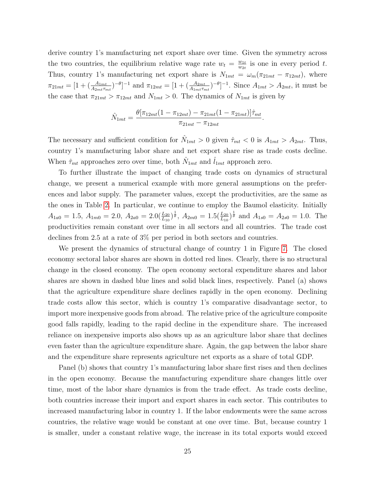derive country 1's manufacturing net export share over time. Given the symmetry across the two countries, the equilibrium relative wage rate  $w_t = \frac{w_{1t}}{w_{2t}}$  $\frac{w_{1t}}{w_{2t}}$  is one in every period t. Thus, country 1's manufacturing net export share is  $N_{1mt} = \omega_m (\pi_{21mt} - \pi_{12mt})$ , where  $\pi_{21mt} = [1 + (\frac{A_{1mt}}{A_{2mt}\tau_{mt}})^{-\theta}]^{-1}$  and  $\pi_{12mt} = [1 + (\frac{A_{2mt}}{A_{1mt}\tau_{mt}})^{-\theta}]^{-1}$ . Since  $A_{1mt} > A_{2mt}$ , it must be the case that  $\pi_{21mt} > \pi_{12mt}$  and  $N_{1mt} > 0$ . The dynamics of  $N_{1mt}$  is given by

$$
\hat{N}_{1mt} = \frac{\theta[\pi_{12mt}(1 - \pi_{12mt}) - \pi_{21mt}(1 - \pi_{21mt})]\hat{\tau}_{mt}}{\pi_{21mt} - \pi_{12mt}}.
$$

The necessary and sufficient condition for  $\hat{N}_{1mt} > 0$  given  $\hat{\tau}_{mt} < 0$  is  $A_{1mt} > A_{2mt}$ . Thus, country 1's manufacturing labor share and net export share rise as trade costs decline. When  $\hat{\tau}_{mt}$  approaches zero over time, both  $\hat{N}_{1mt}$  and  $\hat{l}_{1mt}$  approach zero.

To further illustrate the impact of changing trade costs on dynamics of structural change, we present a numerical example with more general assumptions on the preferences and labor supply. The parameter values, except the productivities, are the same as the ones in Table [2.](#page-22-0) In particular, we continue to employ the Baumol elasticity. Initially  $A_{1a0} = 1.5, A_{1m0} = 2.0, A_{2a0} = 2.0(\frac{L_{20}}{L_{10}})^{\frac{1}{\theta}}, A_{2m0} = 1.5(\frac{L_{20}}{L_{10}})^{\frac{1}{\theta}}$  and  $A_{1s0} = A_{2s0} = 1.0$ . The productivities remain constant over time in all sectors and all countries. The trade cost declines from 2.5 at a rate of 3% per period in both sectors and countries.

We present the dynamics of structural change of country 1 in Figure [7.](#page-27-0) The closed economy sectoral labor shares are shown in dotted red lines. Clearly, there is no structural change in the closed economy. The open economy sectoral expenditure shares and labor shares are shown in dashed blue lines and solid black lines, respectively. Panel (a) shows that the agriculture expenditure share declines rapidly in the open economy. Declining trade costs allow this sector, which is country 1's comparative disadvantage sector, to import more inexpensive goods from abroad. The relative price of the agriculture composite good falls rapidly, leading to the rapid decline in the expenditure share. The increased reliance on inexpensive imports also shows up as an agriculture labor share that declines even faster than the agriculture expenditure share. Again, the gap between the labor share and the expenditure share represents agriculture net exports as a share of total GDP.

Panel (b) shows that country 1's manufacturing labor share first rises and then declines in the open economy. Because the manufacturing expenditure share changes little over time, most of the labor share dynamics is from the trade effect. As trade costs decline, both countries increase their import and export shares in each sector. This contributes to increased manufacturing labor in country 1. If the labor endowments were the same across countries, the relative wage would be constant at one over time. But, because country 1 is smaller, under a constant relative wage, the increase in its total exports would exceed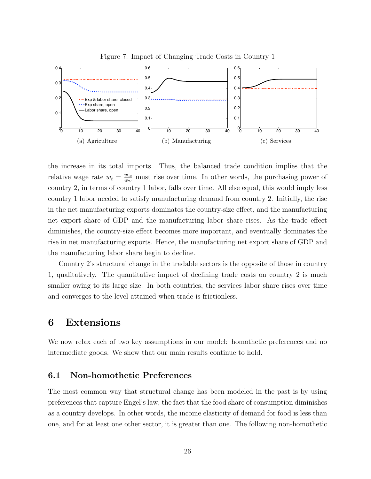

(b) Manufacturing

(c) Services

<span id="page-27-0"></span>Figure 7: Impact of Changing Trade Costs in Country 1

the increase in its total imports. Thus, the balanced trade condition implies that the relative wage rate  $w_t = \frac{w_{1t}}{w_{2t}}$  $\frac{w_{1t}}{w_{2t}}$  must rise over time. In other words, the purchasing power of country 2, in terms of country 1 labor, falls over time. All else equal, this would imply less country 1 labor needed to satisfy manufacturing demand from country 2. Initially, the rise in the net manufacturing exports dominates the country-size effect, and the manufacturing net export share of GDP and the manufacturing labor share rises. As the trade effect diminishes, the country-size effect becomes more important, and eventually dominates the rise in net manufacturing exports. Hence, the manufacturing net export share of GDP and the manufacturing labor share begin to decline.

Country 2's structural change in the tradable sectors is the opposite of those in country 1, qualitatively. The quantitative impact of declining trade costs on country 2 is much smaller owing to its large size. In both countries, the services labor share rises over time and converges to the level attained when trade is frictionless.

## 6 Extensions

(a) Agriculture

We now relax each of two key assumptions in our model: homothetic preferences and no intermediate goods. We show that our main results continue to hold.

### 6.1 Non-homothetic Preferences

The most common way that structural change has been modeled in the past is by using preferences that capture Engel's law, the fact that the food share of consumption diminishes as a country develops. In other words, the income elasticity of demand for food is less than one, and for at least one other sector, it is greater than one. The following non-homothetic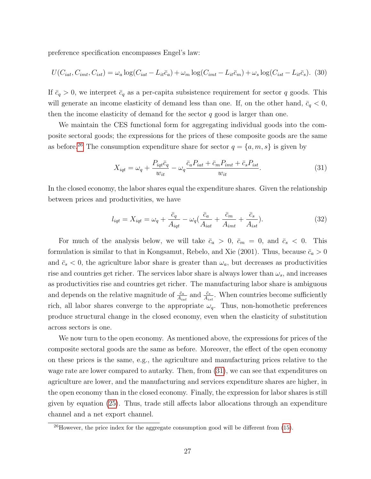preference specification encompasses Engel's law:

$$
U(C_{iat}, C_{imt}, C_{ist}) = \omega_a \log(C_{iat} - L_{it}\bar{c}_a) + \omega_m \log(C_{imt} - L_{it}\bar{c}_m) + \omega_s \log(C_{ist} - L_{it}\bar{c}_s). (30)
$$

If  $\bar{c}_q > 0$ , we interpret  $\bar{c}_q$  as a per-capita subsistence requirement for sector q goods. This will generate an income elasticity of demand less than one. If, on the other hand,  $\bar{c}_q < 0$ , then the income elasticity of demand for the sector  $q$  good is larger than one.

We maintain the CES functional form for aggregating individual goods into the composite sectoral goods; the expressions for the prices of these composite goods are the same as before.<sup>[26](#page--1-0)</sup> The consumption expenditure share for sector  $q = \{a, m, s\}$  is given by

<span id="page-28-0"></span>
$$
X_{iqt} = \omega_q + \frac{P_{iqt}\bar{c}_q}{w_{it}} - \omega_q \frac{\bar{c}_a P_{iat} + \bar{c}_m P_{imt} + \bar{c}_s P_{ist}}{w_{it}}.
$$
\n(31)

In the closed economy, the labor shares equal the expenditure shares. Given the relationship between prices and productivities, we have

$$
l_{iqt} = X_{iqt} = \omega_q + \frac{\bar{c}_q}{A_{iqt}} - \omega_q \left(\frac{\bar{c}_a}{A_{iat}} + \frac{\bar{c}_m}{A_{imt}} + \frac{\bar{c}_s}{A_{ist}}\right).
$$
 (32)

For much of the analysis below, we will take  $\bar{c}_a > 0$ ,  $\bar{c}_m = 0$ , and  $\bar{c}_s < 0$ . This formulation is similar to that in Kongsamut, Rebelo, and Xie (2001). Thus, because  $\bar{c}_a > 0$ and  $\bar{c}_s < 0$ , the agriculture labor share is greater than  $\omega_a$ , but decreases as productivities rise and countries get richer. The services labor share is always lower than  $\omega_s$ , and increases as productivities rise and countries get richer. The manufacturing labor share is ambiguous and depends on the relative magnitude of  $\frac{\bar{c}_a}{A_{iat}}$  and  $\frac{\bar{c}_s}{A_{ist}}$ . When countries become sufficiently rich, all labor shares converge to the appropriate  $\omega_q$ . Thus, non-homothetic preferences produce structural change in the closed economy, even when the elasticity of substitution across sectors is one.

We now turn to the open economy. As mentioned above, the expressions for prices of the composite sectoral goods are the same as before. Moreover, the effect of the open economy on these prices is the same, e.g., the agriculture and manufacturing prices relative to the wage rate are lower compared to autarky. Then, from [\(31\)](#page-28-0), we can see that expenditures on agriculture are lower, and the manufacturing and services expenditure shares are higher, in the open economy than in the closed economy. Finally, the expression for labor shares is still given by equation [\(25\)](#page-18-1). Thus, trade still affects labor allocations through an expenditure channel and a net export channel.

 $^{26}$ However, the price index for the aggregate consumption good will be different from [\(15\)](#page-12-1).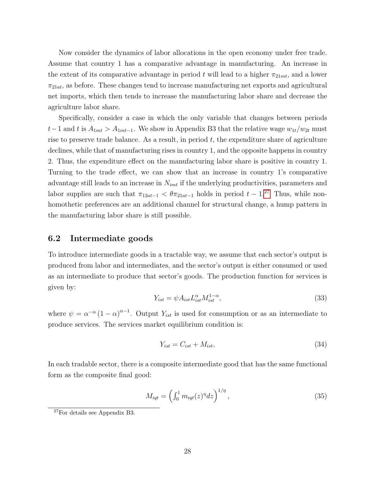Now consider the dynamics of labor allocations in the open economy under free trade. Assume that country 1 has a comparative advantage in manufacturing. An increase in the extent of its comparative advantage in period t will lead to a higher  $\pi_{21mt}$ , and a lower  $\pi_{21at}$ , as before. These changes tend to increase manufacturing net exports and agricultural net imports, which then tends to increase the manufacturing labor share and decrease the agriculture labor share.

Specifically, consider a case in which the only variable that changes between periods  $t-1$  and t is  $A_{1mt} > A_{1mt-1}$ . We show in Appendix B3 that the relative wage  $w_{1t}/w_{2t}$  must rise to preserve trade balance. As a result, in period  $t$ , the expenditure share of agriculture declines, while that of manufacturing rises in country 1, and the opposite happens in country 2. Thus, the expenditure effect on the manufacturing labor share is positive in country 1. Turning to the trade effect, we can show that an increase in country 1's comparative advantage still leads to an increase in  $N_{imt}$  if the underlying productivities, parameters and labor supplies are such that  $\pi_{12at-1} < \theta \pi_{21at-1}$  holds in period  $t - 1$ .<sup>[27](#page--1-0)</sup> Thus, while nonhomothetic preferences are an additional channel for structural change, a hump pattern in the manufacturing labor share is still possible.

### 6.2 Intermediate goods

To introduce intermediate goods in a tractable way, we assume that each sector's output is produced from labor and intermediates, and the sector's output is either consumed or used as an intermediate to produce that sector's goods. The production function for services is given by:

$$
Y_{ist} = \psi A_{ist} L_{ist}^{\alpha} M_{ist}^{1-\alpha},\tag{33}
$$

where  $\psi = \alpha^{-\alpha} (1 - \alpha)^{\alpha - 1}$ . Output  $Y_{ist}$  is used for consumption or as an intermediate to produce services. The services market equilibrium condition is:

$$
Y_{ist} = C_{ist} + M_{ist},\tag{34}
$$

In each tradable sector, there is a composite intermediate good that has the same functional form as the composite final good:

$$
M_{iqt} = \left(\int_0^1 m_{iqt}(z)^\eta dz\right)^{1/\eta},\tag{35}
$$

<sup>27</sup>For details see Appendix B3.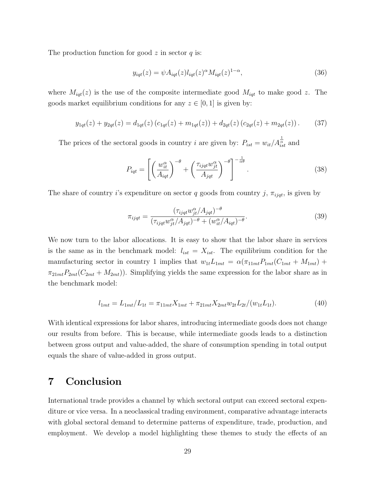The production function for good  $z$  in sector  $q$  is:

$$
y_{iqt}(z) = \psi A_{iqt}(z) l_{iqt}(z)^{\alpha} M_{iqt}(z)^{1-\alpha}, \qquad (36)
$$

where  $M_{iqt}(z)$  is the use of the composite intermediate good  $M_{iqt}$  to make good z. The goods market equilibrium conditions for any  $z \in [0, 1]$  is given by:

$$
y_{1qt}(z) + y_{2qt}(z) = d_{1qt}(z) (c_{1qt}(z) + m_{1qt}(z)) + d_{2qt}(z) (c_{2qt}(z) + m_{2qt}(z)).
$$
 (37)

The prices of the sectoral goods in country *i* are given by:  $P_{ist} = w_{it}/A_{ist}^{\frac{1}{\alpha}}$  and

$$
P_{iqt} = \left[ \left( \frac{w_{it}^{\alpha}}{A_{iqt}} \right)^{-\theta} + \left( \frac{\tau_{ijqt} w_{jt}^{\alpha}}{A_{jqt}} \right)^{-\theta} \right]^{-\frac{1}{\alpha\theta}}.
$$
 (38)

The share of country i's expenditure on sector q goods from country j,  $\pi_{ijqt}$ , is given by

$$
\pi_{ijqt} = \frac{(\tau_{ijqt} w_{jt}^{\alpha}/A_{jqt})^{-\theta}}{(\tau_{ijqt} w_{jt}^{\alpha}/A_{jqt})^{-\theta} + (w_{it}^{\alpha}/A_{iqt})^{-\theta}}.
$$
\n(39)

We now turn to the labor allocations. It is easy to show that the labor share in services is the same as in the benchmark model:  $l_{ist} = X_{ist}$ . The equilibrium condition for the manufacturing sector in country 1 implies that  $w_{1t}L_{1mt} = \alpha(\pi_{11mt}P_{1mt}(C_{1mt} + M_{1mt}) +$  $\pi_{21mt}P_{2mt}(C_{2mt} + M_{2mt})$ ). Simplifying yields the same expression for the labor share as in the benchmark model:

$$
l_{1mt} = L_{1mt}/L_{1t} = \pi_{11mt}X_{1mt} + \pi_{21mt}X_{2mt}w_{2t}L_{2t}/(w_{1t}L_{1t}).
$$
\n(40)

With identical expressions for labor shares, introducing intermediate goods does not change our results from before. This is because, while intermediate goods leads to a distinction between gross output and value-added, the share of consumption spending in total output equals the share of value-added in gross output.

# 7 Conclusion

International trade provides a channel by which sectoral output can exceed sectoral expenditure or vice versa. In a neoclassical trading environment, comparative advantage interacts with global sectoral demand to determine patterns of expenditure, trade, production, and employment. We develop a model highlighting these themes to study the effects of an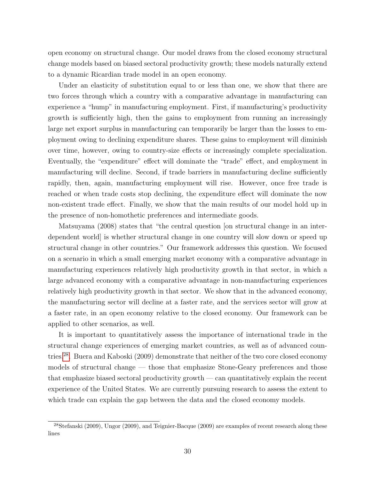open economy on structural change. Our model draws from the closed economy structural change models based on biased sectoral productivity growth; these models naturally extend to a dynamic Ricardian trade model in an open economy.

Under an elasticity of substitution equal to or less than one, we show that there are two forces through which a country with a comparative advantage in manufacturing can experience a "hump" in manufacturing employment. First, if manufacturing's productivity growth is sufficiently high, then the gains to employment from running an increasingly large net export surplus in manufacturing can temporarily be larger than the losses to employment owing to declining expenditure shares. These gains to employment will diminish over time, however, owing to country-size effects or increasingly complete specialization. Eventually, the "expenditure" effect will dominate the "trade" effect, and employment in manufacturing will decline. Second, if trade barriers in manufacturing decline sufficiently rapidly, then, again, manufacturing employment will rise. However, once free trade is reached or when trade costs stop declining, the expenditure effect will dominate the now non-existent trade effect. Finally, we show that the main results of our model hold up in the presence of non-homothetic preferences and intermediate goods.

Matsuyama (2008) states that "the central question [on structural change in an interdependent world] is whether structural change in one country will slow down or speed up structural change in other countries." Our framework addresses this question. We focused on a scenario in which a small emerging market economy with a comparative advantage in manufacturing experiences relatively high productivity growth in that sector, in which a large advanced economy with a comparative advantage in non-manufacturing experiences relatively high productivity growth in that sector. We show that in the advanced economy, the manufacturing sector will decline at a faster rate, and the services sector will grow at a faster rate, in an open economy relative to the closed economy. Our framework can be applied to other scenarios, as well.

It is important to quantitatively assess the importance of international trade in the structural change experiences of emerging market countries, as well as of advanced countries.[28](#page--1-0). Buera and Kaboski (2009) demonstrate that neither of the two core closed economy models of structural change — those that emphasize Stone-Geary preferences and those that emphasize biased sectoral productivity growth — can quantitatively explain the recent experience of the United States. We are currently pursuing research to assess the extent to which trade can explain the gap between the data and the closed economy models.

<sup>28</sup>Stefanski (2009), Ungor (2009), and Teignier-Bacque (2009) are examples of recent research along these lines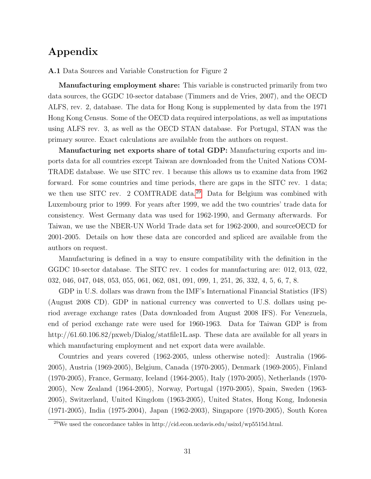# Appendix

A.1 Data Sources and Variable Construction for Figure 2

Manufacturing employment share: This variable is constructed primarily from two data sources, the GGDC 10-sector database (Timmers and de Vries, 2007), and the OECD ALFS, rev. 2, database. The data for Hong Kong is supplemented by data from the 1971 Hong Kong Census. Some of the OECD data required interpolations, as well as imputations using ALFS rev. 3, as well as the OECD STAN database. For Portugal, STAN was the primary source. Exact calculations are available from the authors on request.

Manufacturing net exports share of total GDP: Manufacturing exports and imports data for all countries except Taiwan are downloaded from the United Nations COM-TRADE database. We use SITC rev. 1 because this allows us to examine data from 1962 forward. For some countries and time periods, there are gaps in the SITC rev. 1 data; we then use SITC rev. 2 COMTRADE data.[29](#page--1-0) Data for Belgium was combined with Luxembourg prior to 1999. For years after 1999, we add the two countries' trade data for consistency. West Germany data was used for 1962-1990, and Germany afterwards. For Taiwan, we use the NBER-UN World Trade data set for 1962-2000, and sourceOECD for 2001-2005. Details on how these data are concorded and spliced are available from the authors on request.

Manufacturing is defined in a way to ensure compatibility with the definition in the GGDC 10-sector database. The SITC rev. 1 codes for manufacturing are: 012, 013, 022, 032, 046, 047, 048, 053, 055, 061, 062, 081, 091, 099, 1, 251, 26, 332, 4, 5, 6, 7, 8.

GDP in U.S. dollars was drawn from the IMF's International Financial Statistics (IFS) (August 2008 CD). GDP in national currency was converted to U.S. dollars using period average exchange rates (Data downloaded from August 2008 IFS). For Venezuela, end of period exchange rate were used for 1960-1963. Data for Taiwan GDP is from http://61.60.106.82/pxweb/Dialog/statfile1L.asp. These data are available for all years in which manufacturing employment and net export data were available.

Countries and years covered (1962-2005, unless otherwise noted): Australia (1966- 2005), Austria (1969-2005), Belgium, Canada (1970-2005), Denmark (1969-2005), Finland (1970-2005), France, Germany, Iceland (1964-2005), Italy (1970-2005), Netherlands (1970- 2005), New Zealand (1964-2005), Norway, Portugal (1970-2005), Spain, Sweden (1963- 2005), Switzerland, United Kingdom (1963-2005), United States, Hong Kong, Indonesia (1971-2005), India (1975-2004), Japan (1962-2003), Singapore (1970-2005), South Korea

 $^{29}$ We used the concordance tables in http://cid.econ.ucdavis.edu/usixd/wp5515d.html.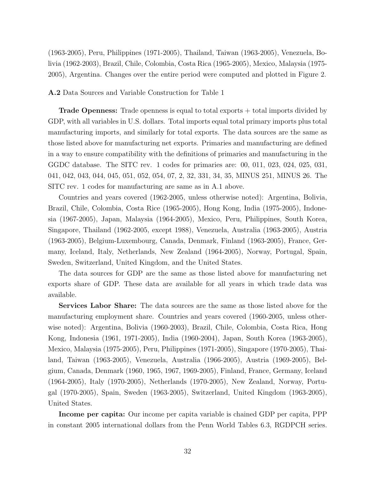(1963-2005), Peru, Philippines (1971-2005), Thailand, Taiwan (1963-2005), Venezuela, Bolivia (1962-2003), Brazil, Chile, Colombia, Costa Rica (1965-2005), Mexico, Malaysia (1975- 2005), Argentina. Changes over the entire period were computed and plotted in Figure 2.

#### A.2 Data Sources and Variable Construction for Table 1

Trade Openness: Trade openness is equal to total exports + total imports divided by GDP, with all variables in U.S. dollars. Total imports equal total primary imports plus total manufacturing imports, and similarly for total exports. The data sources are the same as those listed above for manufacturing net exports. Primaries and manufacturing are defined in a way to ensure compatibility with the definitions of primaries and manufacturing in the GGDC database. The SITC rev. 1 codes for primaries are: 00, 011, 023, 024, 025, 031, 041, 042, 043, 044, 045, 051, 052, 054, 07, 2, 32, 331, 34, 35, MINUS 251, MINUS 26. The SITC rev. 1 codes for manufacturing are same as in A.1 above.

Countries and years covered (1962-2005, unless otherwise noted): Argentina, Bolivia, Brazil, Chile, Colombia, Costa Rice (1965-2005), Hong Kong, India (1975-2005), Indonesia (1967-2005), Japan, Malaysia (1964-2005), Mexico, Peru, Philippines, South Korea, Singapore, Thailand (1962-2005, except 1988), Venezuela, Australia (1963-2005), Austria (1963-2005), Belgium-Luxembourg, Canada, Denmark, Finland (1963-2005), France, Germany, Iceland, Italy, Netherlands, New Zealand (1964-2005), Norway, Portugal, Spain, Sweden, Switzerland, United Kingdom, and the United States.

The data sources for GDP are the same as those listed above for manufacturing net exports share of GDP. These data are available for all years in which trade data was available.

Services Labor Share: The data sources are the same as those listed above for the manufacturing employment share. Countries and years covered (1960-2005, unless otherwise noted): Argentina, Bolivia (1960-2003), Brazil, Chile, Colombia, Costa Rica, Hong Kong, Indonesia (1961, 1971-2005), India (1960-2004), Japan, South Korea (1963-2005), Mexico, Malaysia (1975-2005), Peru, Philippines (1971-2005), Singapore (1970-2005), Thailand, Taiwan (1963-2005), Venezuela, Australia (1966-2005), Austria (1969-2005), Belgium, Canada, Denmark (1960, 1965, 1967, 1969-2005), Finland, France, Germany, Iceland (1964-2005), Italy (1970-2005), Netherlands (1970-2005), New Zealand, Norway, Portugal (1970-2005), Spain, Sweden (1963-2005), Switzerland, United Kingdom (1963-2005), United States.

Income per capita: Our income per capita variable is chained GDP per capita, PPP in constant 2005 international dollars from the Penn World Tables 6.3, RGDPCH series.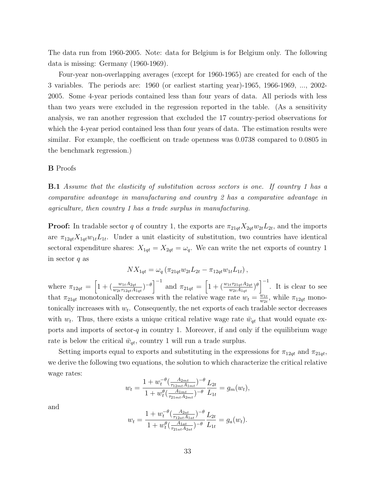The data run from 1960-2005. Note: data for Belgium is for Belgium only. The following data is missing: Germany (1960-1969).

Four-year non-overlapping averages (except for 1960-1965) are created for each of the 3 variables. The periods are: 1960 (or earliest starting year)-1965, 1966-1969, ..., 2002- 2005. Some 4-year periods contained less than four years of data. All periods with less than two years were excluded in the regression reported in the table. (As a sensitivity analysis, we ran another regression that excluded the 17 country-period observations for which the 4-year period contained less than four years of data. The estimation results were similar. For example, the coefficient on trade openness was 0.0738 compared to 0.0805 in the benchmark regression.)

#### B Proofs

**B.1** Assume that the elasticity of substitution across sectors is one. If country 1 has a comparative advantage in manufacturing and country 2 has a comparative advantage in agriculture, then country 1 has a trade surplus in manufacturing.

**Proof:** In tradable sector q of country 1, the exports are  $\pi_{21qt} X_{2qt} w_{2t} L_{2t}$ , and the imports are  $\pi_{12qt}X_{1qt}w_{1t}L_{1t}$ . Under a unit elasticity of substitution, two countries have identical sectoral expenditure shares:  $X_{1qt} = X_{2qt} = \omega_q$ . We can write the net exports of country 1 in sector  $q$  as

$$
NX_{1qt} = \omega_q \left( \pi_{21qt} w_{2t} L_{2t} - \pi_{12qt} w_{1t} L_{1t} \right),
$$

where  $\pi_{12qt} = \left[1 + \left(\frac{w_{1t}A_{2qt}}{w_{2t}\tau_{12qt}A_{1qt}}\right)^{-\theta}\right]^{-1}$  and  $\pi_{21qt} = \left[1 + \left(\frac{w_{1t}\tau_{21qt}A_{2qt}}{w_{2t}A_{1qt}}\right)^{\theta}\right]^{-1}$ . It is clear to see that  $\pi_{21qt}$  monotonically decreases with the relative wage rate  $w_t = \frac{w_{1t}}{w_{2t}}$  $\frac{w_{1t}}{w_{2t}}$ , while  $\pi_{12qt}$  monotonically increases with  $w_t$ . Consequently, the net exports of each tradable sector decreases with  $w_t$ . Thus, there exists a unique critical relative wage rate  $\bar{w}_{qt}$  that would equate exports and imports of sector-q in country 1. Moreover, if and only if the equilibrium wage rate is below the critical  $\bar{w}_{qt}$ , country 1 will run a trade surplus.

Setting imports equal to exports and substituting in the expressions for  $\pi_{12qt}$  and  $\pi_{21qt}$ , we derive the following two equations, the solution to which characterize the critical relative wage rates:

$$
w_t = \frac{1 + w_t^{-\theta} \left( \frac{A_{2mt}}{\tau_{12mt} A_{1mt}} \right)^{-\theta}}{1 + w_t^{\theta} \left( \frac{A_{1mt}}{\tau_{21mt} A_{2mt}} \right)^{-\theta}} \frac{L_{2t}}{L_{1t}} = g_m(w_t),
$$

and

$$
w_t = \frac{1 + w_t^{-\theta} \left( \frac{A_{2at}}{\tau_{12at} A_{1at}} \right)^{-\theta}}{1 + w_t^{\theta} \left( \frac{A_{1at}}{\tau_{21at} A_{2at}} \right)^{-\theta}} \frac{L_{2t}}{L_{1t}} = g_a(w_t).
$$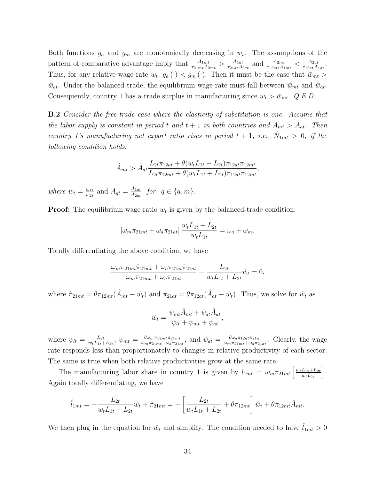Both functions  $g_a$  and  $g_m$  are monotonically decreasing in  $w_t$ . The assumptions of the pattern of comparative advantage imply that  $\frac{A_{1mt}}{\tau_{21mt}A_{2mt}} > \frac{A_{1at}}{\tau_{21at}A_1}$  $\frac{A_{1at}}{\tau_{21at}A_{2at}}$  and  $\frac{A_{2mt}}{\tau_{12mt}A_{1mt}} < \frac{A_{2at}}{\tau_{12at}A_{1}}$  $\frac{A_{2at}}{\tau_{12at}A_{1at}}$ . Thus, for any relative wage rate  $w_t$ ,  $g_a(\cdot) < g_m(\cdot)$ . Then it must be the case that  $\bar{w}_{mt} >$  $\bar{w}_{at}$ . Under the balanced trade, the equilibrium wage rate must fall between  $\bar{w}_{mt}$  and  $\bar{w}_{at}$ . Consequently, country 1 has a trade surplus in manufacturing since  $w_t > \bar{w}_{mt}$ . Q.E.D.

B.2 Consider the free-trade case where the elasticity of substitution is one. Assume that the labor supply is constant in period t and  $t + 1$  in both countries and  $A_{mt} > A_{at}$ . Then country 1's manufacturing net export ratio rises in period  $t + 1$ , i.e.,  $\hat{N}_{1mt} > 0$ , if the following condition holds:

$$
\hat{A}_{mt} > \hat{A}_{at} \frac{L_{2t}\pi_{12at} + \theta(w_t L_{1t} + L_{2t})\pi_{12at}\pi_{12mt}}{L_{2t}\pi_{12mt} + \theta(w_t L_{1t} + L_{2t})\pi_{12at}\pi_{12mt}},
$$

where  $w_t = \frac{w_{1t}}{w_{2t}}$  $\frac{w_{1t}}{w_{2t}}$  and  $A_{qt} = \frac{A_{1qt}}{A_{2qt}}$  $\frac{A_{1qt}}{A_{2qt}}$  for  $q \in \{a,m\}.$ 

**Proof:** The equilibrium wage ratio  $w_t$  is given by the balanced-trade condition:

$$
\left[\omega_m \pi_{21mt} + \omega_a \pi_{21at}\right] \frac{w_t L_{1t} + L_{2t}}{w_t L_{1t}} = \omega_a + \omega_m.
$$

Totally differentiating the above condition, we have

$$
\frac{\omega_m \pi_{21mt} \hat{\pi}_{21mt} + \omega_a \pi_{21at} \hat{\pi}_{21at}}{\omega_m \pi_{21mt} + \omega_a \pi_{21at}} - \frac{L_{2t}}{w_t L_{1t} + L_{2t}} \hat{w}_t = 0,
$$

where  $\hat{\pi}_{21mt} = \theta \pi_{12mt} (\hat{A}_{mt} - \hat{w}_t)$  and  $\hat{\pi}_{21at} = \theta \pi_{12at} (\hat{A}_{at} - \hat{w}_t)$ . Thus, we solve for  $\hat{w}_t$  as

$$
\hat{w}_t = \frac{\psi_{mt}\hat{A}_{mt} + \psi_{at}\hat{A}_{at}}{\psi_{lt} + \psi_{mt} + \psi_{at}},
$$

where  $\psi_{lt} = \frac{L_{2t}}{w_t L_{1:t} + h}$  $\frac{L_{2t}}{w_tL_{1t}+L_{2t}},\ \psi_{mt}=\frac{\theta\omega_m\pi_{12mt}\pi_{21mt}}{\omega_m\pi_{21mt}+\omega_a\pi_{21t}}$  $\frac{\theta \omega_m \pi_{12mt}\pi_{21mt}}{\omega_m\pi_{21mt}+\omega_a\pi_{21at}}$ , and  $\psi_{at}=\frac{\theta \omega_a\pi_{12at}\pi_{21at}}{\omega_m\pi_{21mt}+\omega_a\pi_{21}}$  $\frac{\theta \omega_a \pi_{12at} \pi_{21at}}{\omega_m \pi_{21mt} + \omega_a \pi_{21at}}$ . Clearly, the wage rate responds less than proportionately to changes in relative productivity of each sector. The same is true when both relative productivities grow at the same rate.

The manufacturing labor share in country 1 is given by  $l_{1mt} = \omega_m \pi_{21mt} \left[ \frac{w_t L_{1t} + L_{2t}}{w_t L_{1t}} \right]$  $w_tL_{1t}$ i . Again totally differentiating, we have

$$
\hat{l}_{1mt} = -\frac{L_{2t}}{w_t L_{1t} + L_{2t}} \hat{w}_t + \hat{\pi}_{21mt} = -\left[\frac{L_{2t}}{w_t L_{1t} + L_{2t}} + \theta \pi_{12mt}\right] \hat{w}_t + \theta \pi_{12mt} \hat{A}_{mt}.
$$

We then plug in the equation for  $\hat{w}_t$  and simplify. The condition needed to have  $\hat{l}_{1mt} > 0$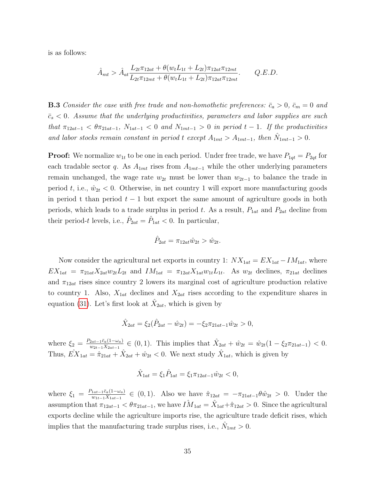is as follows:

$$
\hat{A}_{mt} > \hat{A}_{at} \frac{L_{2t}\pi_{12at} + \theta(w_t L_{1t} + L_{2t})\pi_{12at}\pi_{12mt}}{L_{2t}\pi_{12mt} + \theta(w_t L_{1t} + L_{2t})\pi_{12at}\pi_{12mt}}.
$$
 Q.E.D.

**B.3** Consider the case with free trade and non-homothetic preferences:  $\bar{c}_a > 0$ ,  $\bar{c}_m = 0$  and  $\bar{c}_s$  < 0. Assume that the underlying productivities, parameters and labor supplies are such that  $\pi_{12at-1} < \theta \pi_{21at-1}$ ,  $N_{1at-1} < 0$  and  $N_{1mt-1} > 0$  in period  $t-1$ . If the productivities and labor stocks remain constant in period t except  $A_{1mt} > A_{1mt-1}$ , then  $\hat{N}_{1mt-1} > 0$ .

**Proof:** We normalize  $w_{1t}$  to be one in each period. Under free trade, we have  $P_{1qt} = P_{2qt}$  for each tradable sector q. As  $A_{1mt}$  rises from  $A_{1mt-1}$  while the other underlying parameters remain unchanged, the wage rate  $w_{2t}$  must be lower than  $w_{2t-1}$  to balance the trade in period t, i.e.,  $\hat{w}_{2t} < 0$ . Otherwise, in net country 1 will export more manufacturing goods in period t than period  $t-1$  but export the same amount of agriculture goods in both periods, which leads to a trade surplus in period t. As a result,  $P_{1at}$  and  $P_{2at}$  decline from their period-t levels, i.e.,  $\hat{P}_{2at} = \hat{P}_{1at} < 0$ . In particular,

$$
\hat{P}_{2at} = \pi_{12at}\hat{w}_{2t} > \hat{w}_{2t}.
$$

Now consider the agricultural net exports in country 1:  $NX_{1at} = EX_{1at} - IM_{1at}$ , where  $EX_{1at} = \pi_{21at}X_{2at}w_{2t}L_{2t}$  and  $IM_{1at} = \pi_{12at}X_{1at}w_{1t}L_{1t}$ . As  $w_{2t}$  declines,  $\pi_{21at}$  declines and  $\pi_{12at}$  rises since country 2 lowers its marginal cost of agriculture production relative to country 1. Also,  $X_{1at}$  declines and  $X_{2at}$  rises according to the expenditure shares in equation [\(31\)](#page-28-0). Let's first look at  $\hat{X}_{2at}$ , which is given by

$$
\hat{X}_{2at} = \xi_2(\hat{P}_{2at} - \hat{w}_{2t}) = -\xi_2 \pi_{21at-1} \hat{w}_{2t} > 0,
$$

where  $\xi_2 = \frac{P_{2at-1}\bar{c}_a(1-\omega_a)}{w_{2t-1}X_{2at-1}}$  $\frac{\partial_{2at-1}\bar{c}_a(1-\omega_a)}{\omega_{2t-1}X_{2at-1}} \in (0,1).$  This implies that  $\hat{X}_{2at} + \hat{w}_{2t} = \hat{w}_{2t}(1-\xi_2\pi_{21at-1}) < 0.$ Thus,  $\hat{EX}_{1at} = \hat{\pi}_{21at} + \hat{X}_{2at} + \hat{w}_{2t} < 0$ . We next study  $\hat{X}_{1at}$ , which is given by

$$
\hat{X}_{1at} = \xi_1 \hat{P}_{1at} = \xi_1 \pi_{12at-1} \hat{w}_{2t} < 0,
$$

where  $\xi_1 = \frac{P_{1at-1}\bar{c}_a(1-\omega_a)}{w_{1t-1}X_{1at-1}}$  $\frac{a_{1a}t-1}{}_{a_1}I_{a_1}^{a_1}$  =  $(0,1)$ . Also we have  $\hat{\pi}_{12at} = -\pi_{21at-1}\theta\hat{w}_{2t} > 0$ . Under the assumption that  $\pi_{12at-1} < \theta \pi_{21at-1}$ , we have  $\hat{IM}_{1at} = \hat{X}_{1at} + \hat{\pi}_{12at} > 0$ . Since the agricultural exports decline while the agriculture imports rise, the agriculture trade deficit rises, which implies that the manufacturing trade surplus rises, i.e.,  $\hat{N}_{1mt} > 0$ .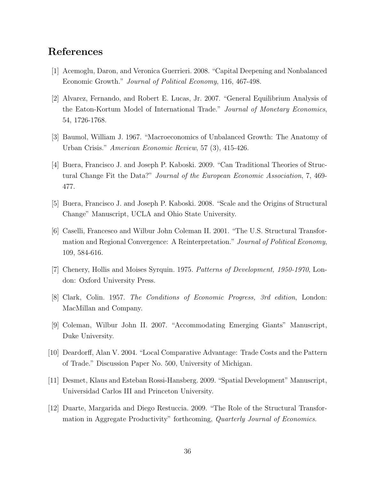# References

- [1] Acemoglu, Daron, and Veronica Guerrieri. 2008. "Capital Deepening and Nonbalanced Economic Growth." Journal of Political Economy, 116, 467-498.
- [2] Alvarez, Fernando, and Robert E. Lucas, Jr. 2007. "General Equilibrium Analysis of the Eaton-Kortum Model of International Trade." Journal of Monetary Economics, 54, 1726-1768.
- [3] Baumol, William J. 1967. "Macroeconomics of Unbalanced Growth: The Anatomy of Urban Crisis." American Economic Review, 57 (3), 415-426.
- [4] Buera, Francisco J. and Joseph P. Kaboski. 2009. "Can Traditional Theories of Structural Change Fit the Data?" Journal of the European Economic Association, 7, 469- 477.
- [5] Buera, Francisco J. and Joseph P. Kaboski. 2008. "Scale and the Origins of Structural Change" Manuscript, UCLA and Ohio State University.
- [6] Caselli, Francesco and Wilbur John Coleman II. 2001. "The U.S. Structural Transformation and Regional Convergence: A Reinterpretation." Journal of Political Economy, 109, 584-616.
- [7] Chenery, Hollis and Moises Syrquin. 1975. Patterns of Development, 1950-1970, London: Oxford University Press.
- [8] Clark, Colin. 1957. The Conditions of Economic Progress, 3rd edition, London: MacMillan and Company.
- [9] Coleman, Wilbur John II. 2007. "Accommodating Emerging Giants" Manuscript, Duke University.
- [10] Deardorff, Alan V. 2004. "Local Comparative Advantage: Trade Costs and the Pattern of Trade." Discussion Paper No. 500, University of Michigan.
- [11] Desmet, Klaus and Esteban Rossi-Hansberg. 2009. "Spatial Development" Manuscript, Universidad Carlos III and Princeton University.
- [12] Duarte, Margarida and Diego Restuccia. 2009. "The Role of the Structural Transformation in Aggregate Productivity" forthcoming, Quarterly Journal of Economics.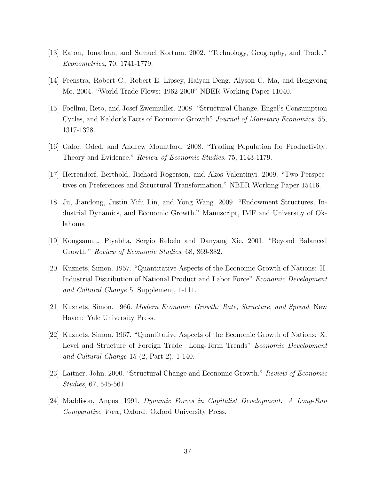- [13] Eaton, Jonathan, and Samuel Kortum. 2002. "Technology, Geography, and Trade." Econometrica, 70, 1741-1779.
- [14] Feenstra, Robert C., Robert E. Lipsey, Haiyan Deng, Alyson C. Ma, and Hengyong Mo. 2004. "World Trade Flows: 1962-2000" NBER Working Paper 11040.
- [15] Foellmi, Reto, and Josef Zweimuller. 2008. "Structural Change, Engel's Consumption Cycles, and Kaldor's Facts of Economic Growth" Journal of Monetary Economics, 55, 1317-1328.
- [16] Galor, Oded, and Andrew Mountford. 2008. "Trading Population for Productivity: Theory and Evidence." Review of Economic Studies, 75, 1143-1179.
- [17] Herrendorf, Berthold, Richard Rogerson, and Akos Valentinyi. 2009. "Two Perspectives on Preferences and Structural Transformation." NBER Working Paper 15416.
- [18] Ju, Jiandong, Justin Yifu Lin, and Yong Wang. 2009. "Endowment Structures, Industrial Dynamics, and Economic Growth." Manuscript, IMF and University of Oklahoma.
- [19] Kongsamut, Piyabha, Sergio Rebelo and Danyang Xie. 2001. "Beyond Balanced Growth." Review of Economic Studies, 68, 869-882.
- [20] Kuznets, Simon. 1957. "Quantitative Aspects of the Economic Growth of Nations: II. Industrial Distribution of National Product and Labor Force" Economic Development and Cultural Change 5, Supplement, 1-111.
- [21] Kuznets, Simon. 1966. Modern Economic Growth: Rate, Structure, and Spread, New Haven: Yale University Press.
- [22] Kuznets, Simon. 1967. "Quantitative Aspects of the Economic Growth of Nations: X. Level and Structure of Foreign Trade: Long-Term Trends" Economic Development and Cultural Change 15 (2, Part 2), 1-140.
- [23] Laitner, John. 2000. "Structural Change and Economic Growth." Review of Economic Studies, 67, 545-561.
- [24] Maddison, Angus. 1991. Dynamic Forces in Capitalist Development: A Long-Run Comparative View, Oxford: Oxford University Press.